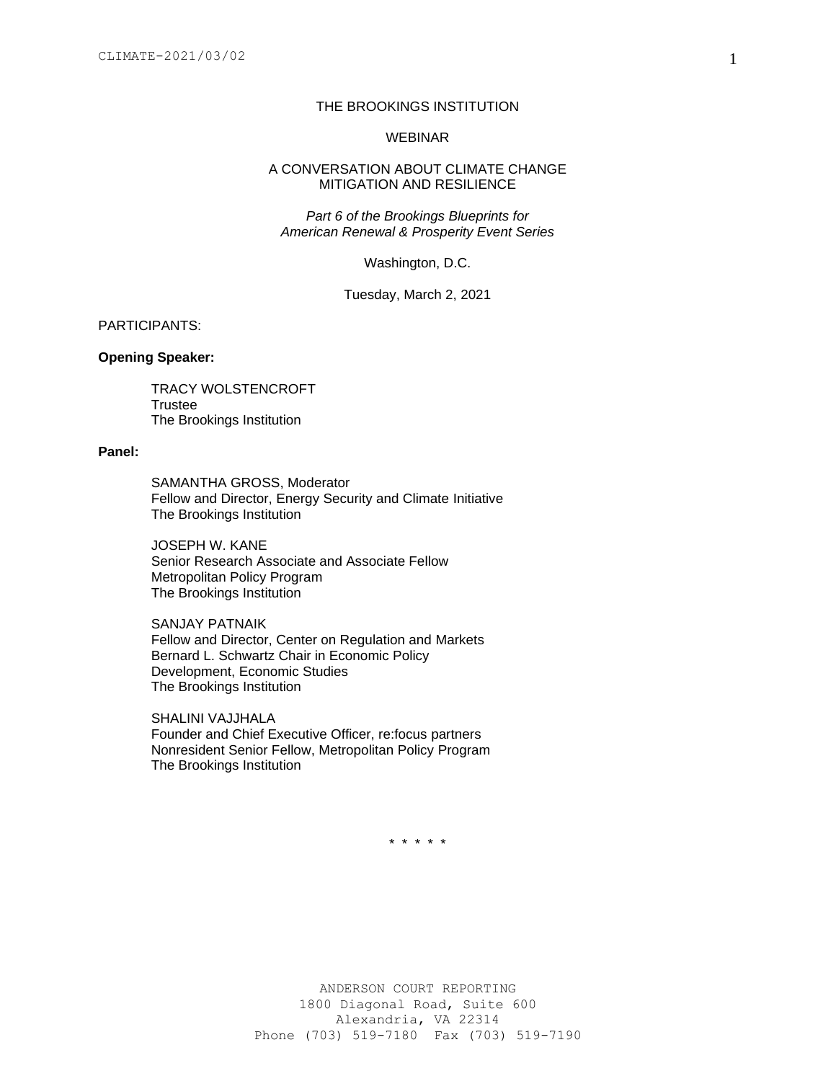# THE BROOKINGS INSTITUTION

#### WEBINAR

### A CONVERSATION ABOUT CLIMATE CHANGE MITIGATION AND RESILIENCE

*Part 6 of the Brookings Blueprints for American Renewal & Prosperity Event Series*

Washington, D.C.

Tuesday, March 2, 2021

# PARTICIPANTS:

### **Opening Speaker:**

TRACY WOLSTENCROFT **Trustee** The Brookings Institution

## **Panel:**

SAMANTHA GROSS, Moderator Fellow and Director, Energy Security and Climate Initiative The Brookings Institution

JOSEPH W. KANE Senior Research Associate and Associate Fellow Metropolitan Policy Program The Brookings Institution

SANJAY PATNAIK Fellow and Director, Center on Regulation and Markets Bernard L. Schwartz Chair in Economic Policy Development, Economic Studies The Brookings Institution

SHALINI VAJJHALA Founder and Chief Executive Officer, re:focus partners Nonresident Senior Fellow, Metropolitan Policy Program The Brookings Institution

\* \* \* \* \*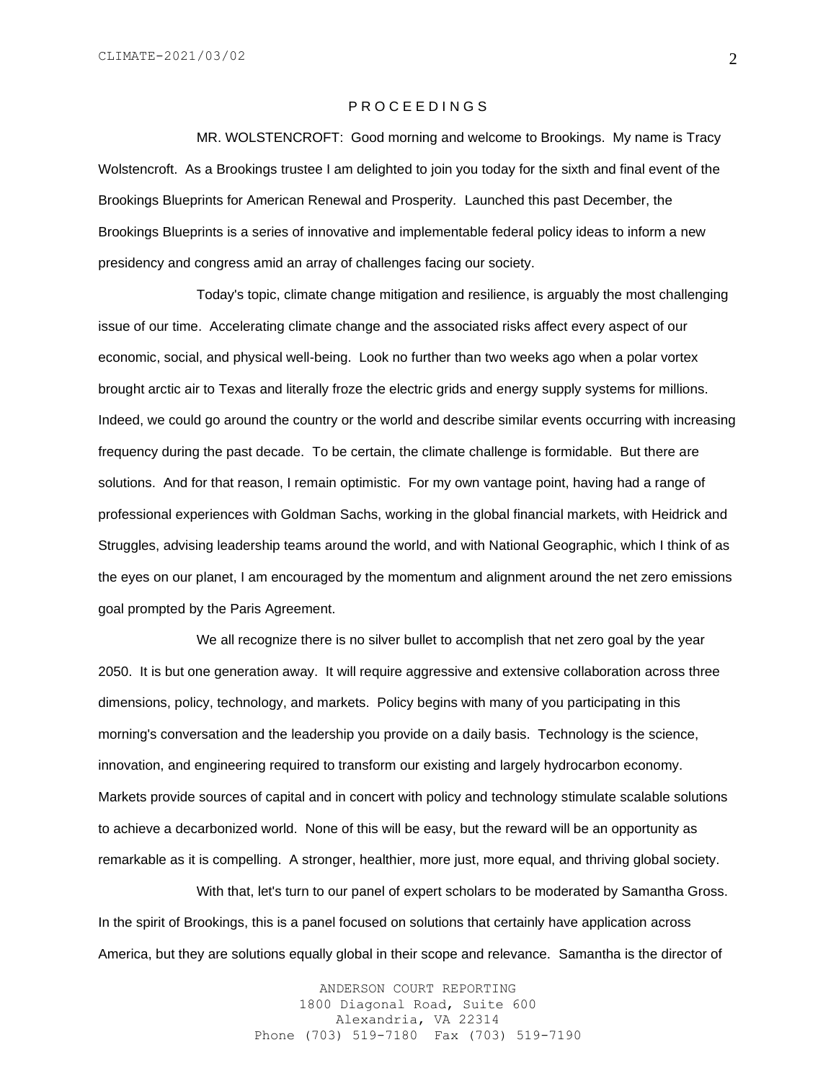# P R O C E E D I N G S

MR. WOLSTENCROFT: Good morning and welcome to Brookings. My name is Tracy Wolstencroft. As a Brookings trustee I am delighted to join you today for the sixth and final event of the Brookings Blueprints for American Renewal and Prosperity*.* Launched this past December, the Brookings Blueprints is a series of innovative and implementable federal policy ideas to inform a new presidency and congress amid an array of challenges facing our society.

Today's topic, climate change mitigation and resilience, is arguably the most challenging issue of our time. Accelerating climate change and the associated risks affect every aspect of our economic, social, and physical well-being. Look no further than two weeks ago when a polar vortex brought arctic air to Texas and literally froze the electric grids and energy supply systems for millions. Indeed, we could go around the country or the world and describe similar events occurring with increasing frequency during the past decade. To be certain, the climate challenge is formidable. But there are solutions. And for that reason, I remain optimistic. For my own vantage point, having had a range of professional experiences with Goldman Sachs, working in the global financial markets, with Heidrick and Struggles, advising leadership teams around the world, and with National Geographic, which I think of as the eyes on our planet, I am encouraged by the momentum and alignment around the net zero emissions goal prompted by the Paris Agreement.

We all recognize there is no silver bullet to accomplish that net zero goal by the year 2050. It is but one generation away. It will require aggressive and extensive collaboration across three dimensions, policy, technology, and markets. Policy begins with many of you participating in this morning's conversation and the leadership you provide on a daily basis. Technology is the science, innovation, and engineering required to transform our existing and largely hydrocarbon economy. Markets provide sources of capital and in concert with policy and technology stimulate scalable solutions to achieve a decarbonized world. None of this will be easy, but the reward will be an opportunity as remarkable as it is compelling. A stronger, healthier, more just, more equal, and thriving global society.

With that, let's turn to our panel of expert scholars to be moderated by Samantha Gross. In the spirit of Brookings, this is a panel focused on solutions that certainly have application across America, but they are solutions equally global in their scope and relevance. Samantha is the director of

> ANDERSON COURT REPORTING 1800 Diagonal Road, Suite 600 Alexandria, VA 22314 Phone (703) 519-7180 Fax (703) 519-7190

2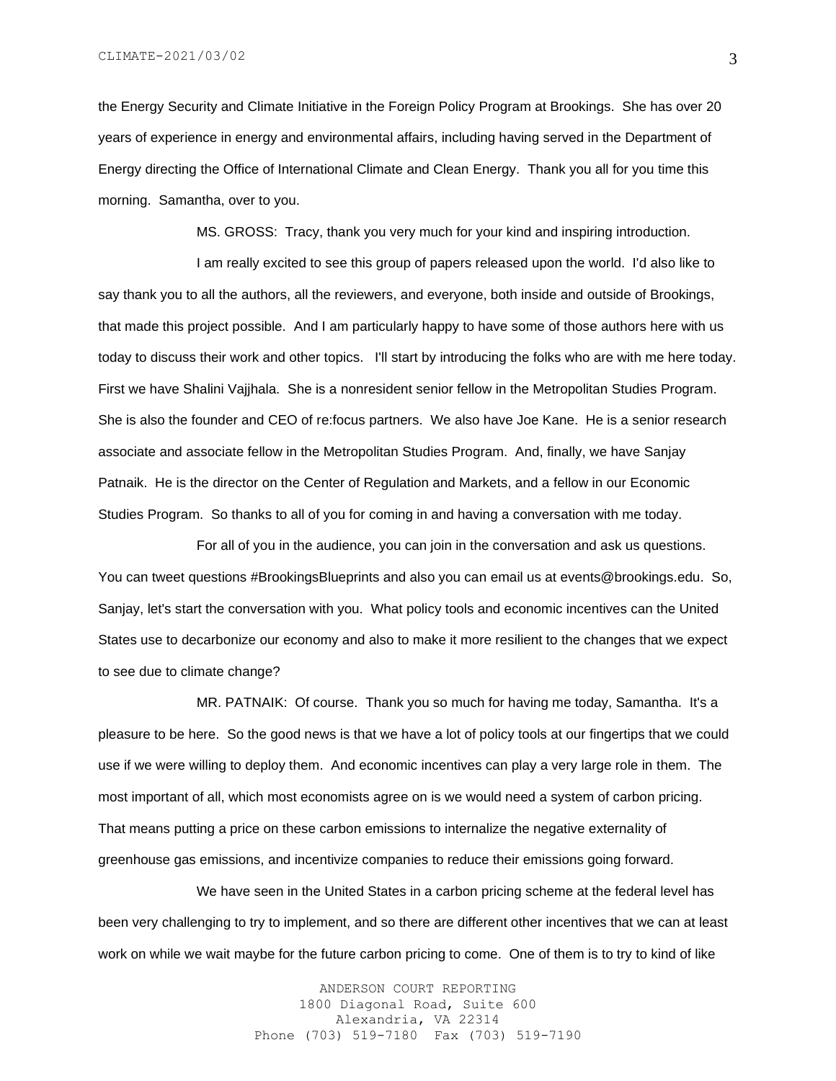the Energy Security and Climate Initiative in the Foreign Policy Program at Brookings. She has over 20 years of experience in energy and environmental affairs, including having served in the Department of Energy directing the Office of International Climate and Clean Energy. Thank you all for you time this morning. Samantha, over to you.

MS. GROSS: Tracy, thank you very much for your kind and inspiring introduction.

I am really excited to see this group of papers released upon the world. I'd also like to say thank you to all the authors, all the reviewers, and everyone, both inside and outside of Brookings, that made this project possible. And I am particularly happy to have some of those authors here with us today to discuss their work and other topics. I'll start by introducing the folks who are with me here today. First we have Shalini Vajjhala. She is a nonresident senior fellow in the Metropolitan Studies Program. She is also the founder and CEO of re:focus partners. We also have Joe Kane. He is a senior research associate and associate fellow in the Metropolitan Studies Program. And, finally, we have Sanjay Patnaik. He is the director on the Center of Regulation and Markets, and a fellow in our Economic Studies Program. So thanks to all of you for coming in and having a conversation with me today.

For all of you in the audience, you can join in the conversation and ask us questions. You can tweet questions #BrookingsBlueprints and also you can email us at events@brookings.edu. So, Sanjay, let's start the conversation with you. What policy tools and economic incentives can the United States use to decarbonize our economy and also to make it more resilient to the changes that we expect to see due to climate change?

MR. PATNAIK: Of course. Thank you so much for having me today, Samantha. It's a pleasure to be here. So the good news is that we have a lot of policy tools at our fingertips that we could use if we were willing to deploy them. And economic incentives can play a very large role in them. The most important of all, which most economists agree on is we would need a system of carbon pricing. That means putting a price on these carbon emissions to internalize the negative externality of greenhouse gas emissions, and incentivize companies to reduce their emissions going forward.

We have seen in the United States in a carbon pricing scheme at the federal level has been very challenging to try to implement, and so there are different other incentives that we can at least work on while we wait maybe for the future carbon pricing to come. One of them is to try to kind of like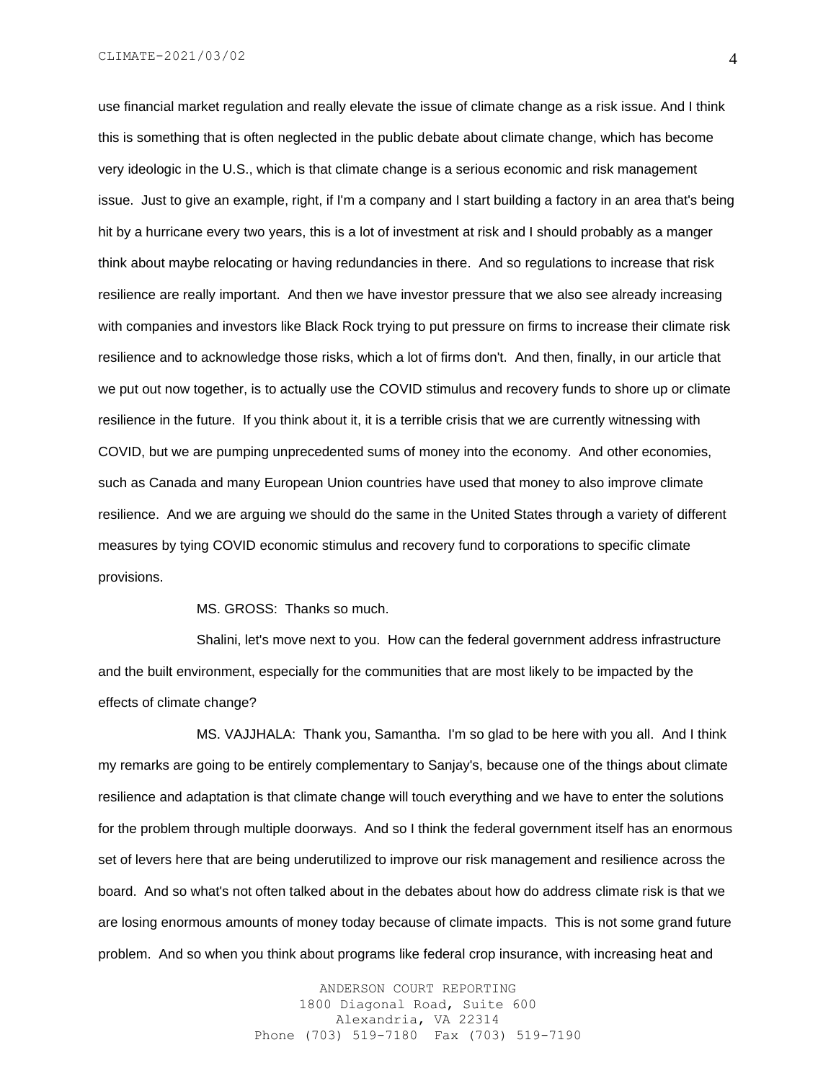CLIMATE-2021/03/02

use financial market regulation and really elevate the issue of climate change as a risk issue. And I think this is something that is often neglected in the public debate about climate change, which has become very ideologic in the U.S., which is that climate change is a serious economic and risk management issue. Just to give an example, right, if I'm a company and I start building a factory in an area that's being hit by a hurricane every two years, this is a lot of investment at risk and I should probably as a manger think about maybe relocating or having redundancies in there. And so regulations to increase that risk resilience are really important. And then we have investor pressure that we also see already increasing with companies and investors like Black Rock trying to put pressure on firms to increase their climate risk resilience and to acknowledge those risks, which a lot of firms don't. And then, finally, in our article that we put out now together, is to actually use the COVID stimulus and recovery funds to shore up or climate resilience in the future. If you think about it, it is a terrible crisis that we are currently witnessing with COVID, but we are pumping unprecedented sums of money into the economy. And other economies, such as Canada and many European Union countries have used that money to also improve climate resilience. And we are arguing we should do the same in the United States through a variety of different measures by tying COVID economic stimulus and recovery fund to corporations to specific climate provisions.

MS. GROSS: Thanks so much.

Shalini, let's move next to you. How can the federal government address infrastructure and the built environment, especially for the communities that are most likely to be impacted by the effects of climate change?

MS. VAJJHALA: Thank you, Samantha. I'm so glad to be here with you all. And I think my remarks are going to be entirely complementary to Sanjay's, because one of the things about climate resilience and adaptation is that climate change will touch everything and we have to enter the solutions for the problem through multiple doorways. And so I think the federal government itself has an enormous set of levers here that are being underutilized to improve our risk management and resilience across the board. And so what's not often talked about in the debates about how do address climate risk is that we are losing enormous amounts of money today because of climate impacts. This is not some grand future problem. And so when you think about programs like federal crop insurance, with increasing heat and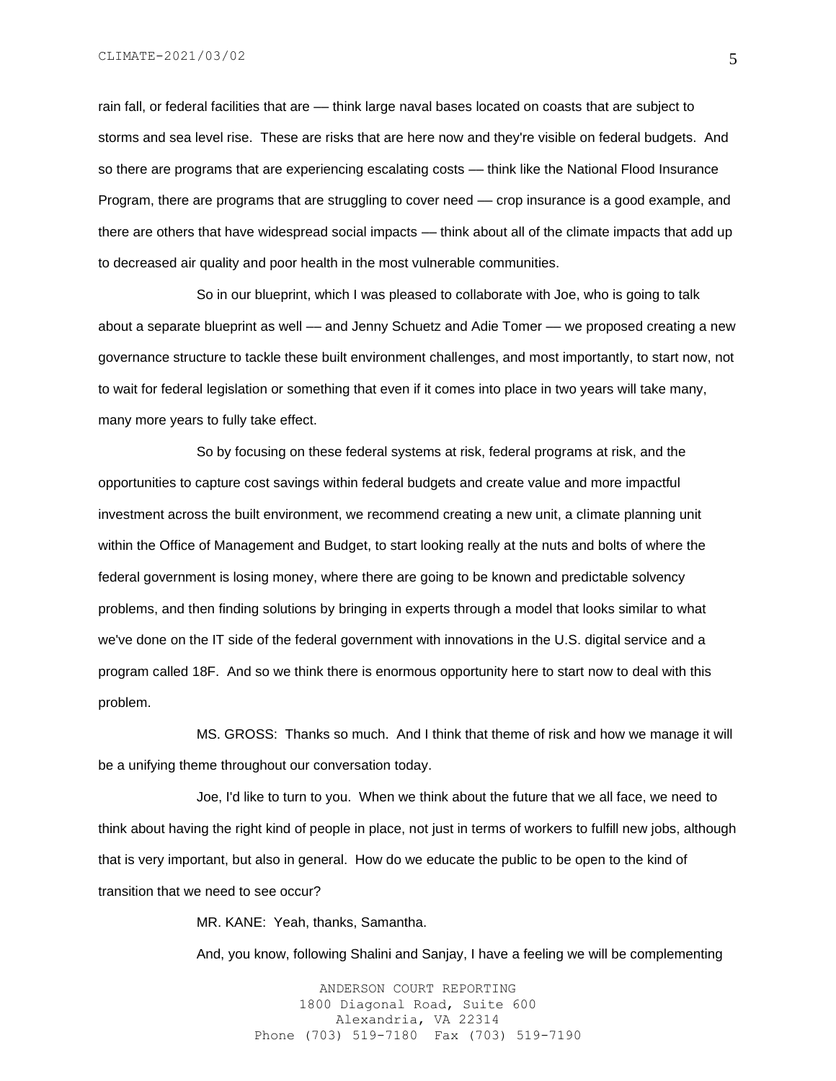rain fall, or federal facilities that are — think large naval bases located on coasts that are subject to storms and sea level rise. These are risks that are here now and they're visible on federal budgets. And so there are programs that are experiencing escalating costs — think like the National Flood Insurance Program, there are programs that are struggling to cover need –– crop insurance is a good example, and there are others that have widespread social impacts — think about all of the climate impacts that add up to decreased air quality and poor health in the most vulnerable communities.

So in our blueprint, which I was pleased to collaborate with Joe, who is going to talk about a separate blueprint as well — and Jenny Schuetz and Adie Tomer — we proposed creating a new governance structure to tackle these built environment challenges, and most importantly, to start now, not to wait for federal legislation or something that even if it comes into place in two years will take many, many more years to fully take effect.

So by focusing on these federal systems at risk, federal programs at risk, and the opportunities to capture cost savings within federal budgets and create value and more impactful investment across the built environment, we recommend creating a new unit, a climate planning unit within the Office of Management and Budget, to start looking really at the nuts and bolts of where the federal government is losing money, where there are going to be known and predictable solvency problems, and then finding solutions by bringing in experts through a model that looks similar to what we've done on the IT side of the federal government with innovations in the U.S. digital service and a program called 18F. And so we think there is enormous opportunity here to start now to deal with this problem.

MS. GROSS: Thanks so much. And I think that theme of risk and how we manage it will be a unifying theme throughout our conversation today.

Joe, I'd like to turn to you. When we think about the future that we all face, we need to think about having the right kind of people in place, not just in terms of workers to fulfill new jobs, although that is very important, but also in general. How do we educate the public to be open to the kind of transition that we need to see occur?

MR. KANE: Yeah, thanks, Samantha.

And, you know, following Shalini and Sanjay, I have a feeling we will be complementing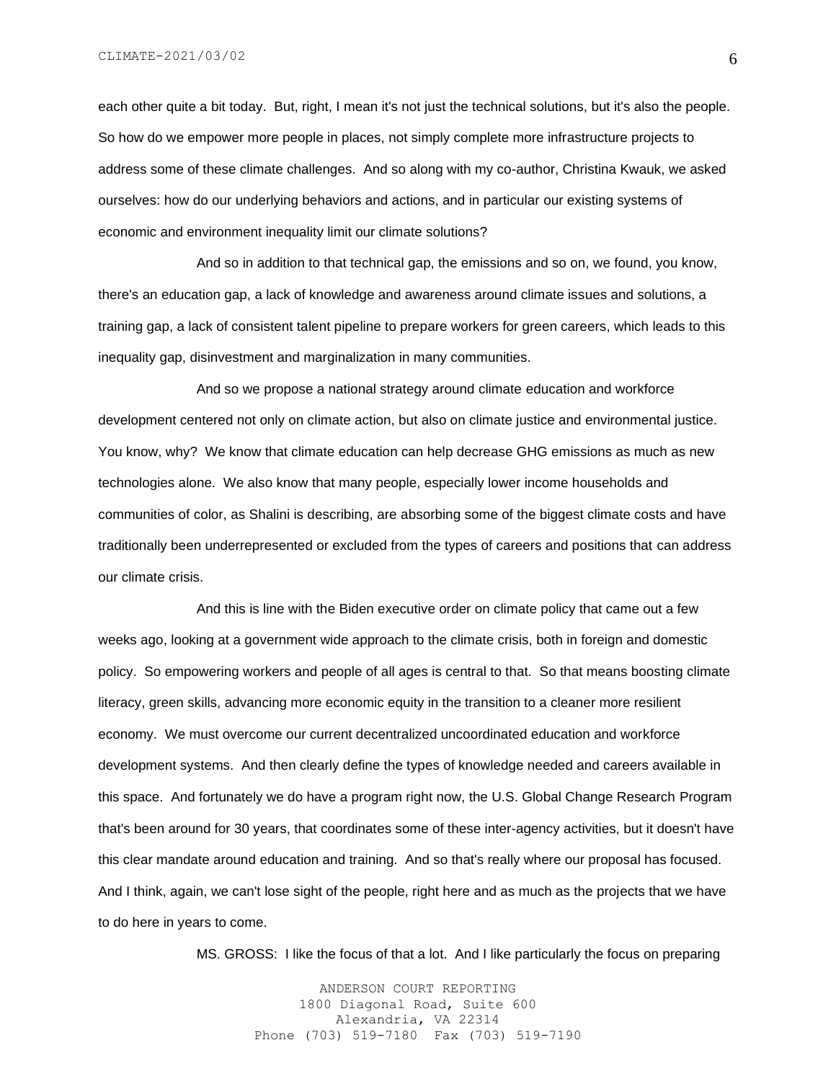each other quite a bit today. But, right, I mean it's not just the technical solutions, but it's also the people. So how do we empower more people in places, not simply complete more infrastructure projects to address some of these climate challenges. And so along with my co-author, Christina Kwauk, we asked ourselves: how do our underlying behaviors and actions, and in particular our existing systems of economic and environment inequality limit our climate solutions?

And so in addition to that technical gap, the emissions and so on, we found, you know, there's an education gap, a lack of knowledge and awareness around climate issues and solutions, a training gap, a lack of consistent talent pipeline to prepare workers for green careers, which leads to this inequality gap, disinvestment and marginalization in many communities.

And so we propose a national strategy around climate education and workforce development centered not only on climate action, but also on climate justice and environmental justice. You know, why? We know that climate education can help decrease GHG emissions as much as new technologies alone. We also know that many people, especially lower income households and communities of color, as Shalini is describing, are absorbing some of the biggest climate costs and have traditionally been underrepresented or excluded from the types of careers and positions that can address our climate crisis.

And this is line with the Biden executive order on climate policy that came out a few weeks ago, looking at a government wide approach to the climate crisis, both in foreign and domestic policy. So empowering workers and people of all ages is central to that. So that means boosting climate literacy, green skills, advancing more economic equity in the transition to a cleaner more resilient economy. We must overcome our current decentralized uncoordinated education and workforce development systems. And then clearly define the types of knowledge needed and careers available in this space. And fortunately we do have a program right now, the U.S. Global Change Research Program that's been around for 30 years, that coordinates some of these inter-agency activities, but it doesn't have this clear mandate around education and training. And so that's really where our proposal has focused. And I think, again, we can't lose sight of the people, right here and as much as the projects that we have to do here in years to come.

MS. GROSS: I like the focus of that a lot. And I like particularly the focus on preparing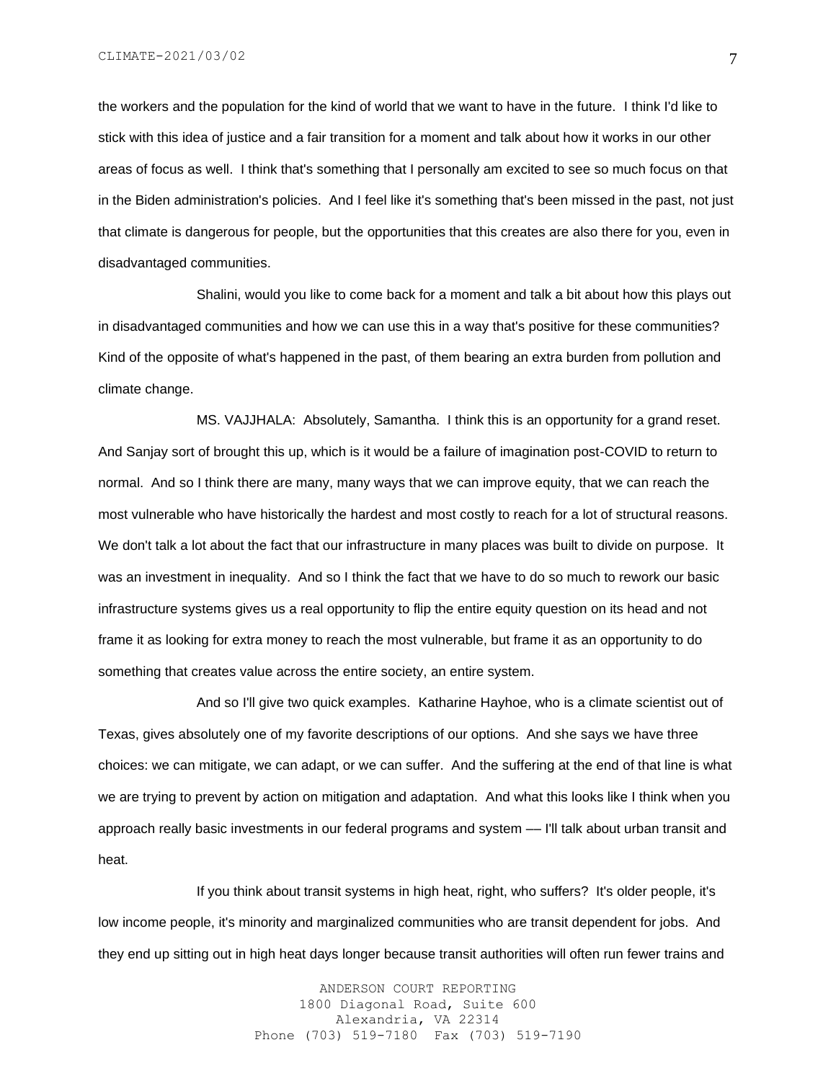the workers and the population for the kind of world that we want to have in the future. I think I'd like to stick with this idea of justice and a fair transition for a moment and talk about how it works in our other areas of focus as well. I think that's something that I personally am excited to see so much focus on that in the Biden administration's policies. And I feel like it's something that's been missed in the past, not just that climate is dangerous for people, but the opportunities that this creates are also there for you, even in disadvantaged communities.

Shalini, would you like to come back for a moment and talk a bit about how this plays out in disadvantaged communities and how we can use this in a way that's positive for these communities? Kind of the opposite of what's happened in the past, of them bearing an extra burden from pollution and climate change.

MS. VAJJHALA: Absolutely, Samantha. I think this is an opportunity for a grand reset. And Sanjay sort of brought this up, which is it would be a failure of imagination post-COVID to return to normal. And so I think there are many, many ways that we can improve equity, that we can reach the most vulnerable who have historically the hardest and most costly to reach for a lot of structural reasons. We don't talk a lot about the fact that our infrastructure in many places was built to divide on purpose. It was an investment in inequality. And so I think the fact that we have to do so much to rework our basic infrastructure systems gives us a real opportunity to flip the entire equity question on its head and not frame it as looking for extra money to reach the most vulnerable, but frame it as an opportunity to do something that creates value across the entire society, an entire system.

And so I'll give two quick examples. Katharine Hayhoe, who is a climate scientist out of Texas, gives absolutely one of my favorite descriptions of our options. And she says we have three choices: we can mitigate, we can adapt, or we can suffer. And the suffering at the end of that line is what we are trying to prevent by action on mitigation and adaptation. And what this looks like I think when you approach really basic investments in our federal programs and system –– I'll talk about urban transit and heat.

If you think about transit systems in high heat, right, who suffers? It's older people, it's low income people, it's minority and marginalized communities who are transit dependent for jobs. And they end up sitting out in high heat days longer because transit authorities will often run fewer trains and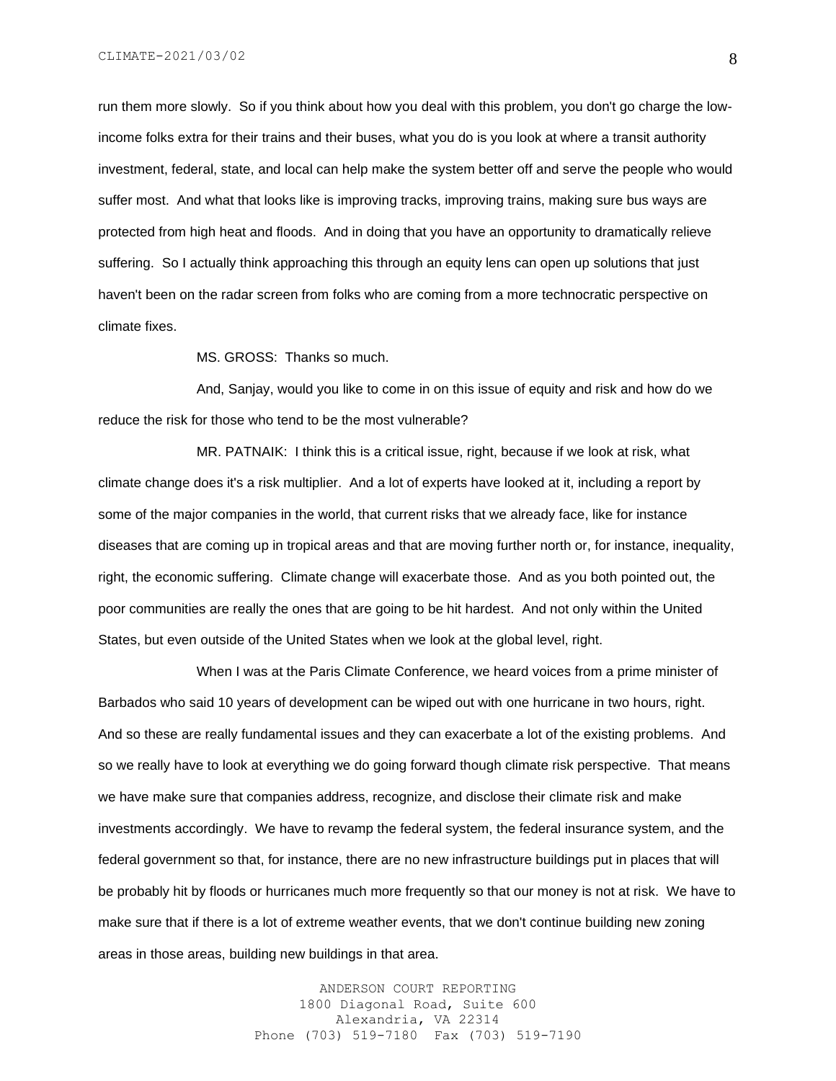run them more slowly. So if you think about how you deal with this problem, you don't go charge the lowincome folks extra for their trains and their buses, what you do is you look at where a transit authority investment, federal, state, and local can help make the system better off and serve the people who would suffer most. And what that looks like is improving tracks, improving trains, making sure bus ways are protected from high heat and floods. And in doing that you have an opportunity to dramatically relieve suffering. So I actually think approaching this through an equity lens can open up solutions that just haven't been on the radar screen from folks who are coming from a more technocratic perspective on climate fixes.

MS. GROSS: Thanks so much.

And, Sanjay, would you like to come in on this issue of equity and risk and how do we reduce the risk for those who tend to be the most vulnerable?

MR. PATNAIK: I think this is a critical issue, right, because if we look at risk, what climate change does it's a risk multiplier. And a lot of experts have looked at it, including a report by some of the major companies in the world, that current risks that we already face, like for instance diseases that are coming up in tropical areas and that are moving further north or, for instance, inequality, right, the economic suffering. Climate change will exacerbate those. And as you both pointed out, the poor communities are really the ones that are going to be hit hardest. And not only within the United States, but even outside of the United States when we look at the global level, right.

When I was at the Paris Climate Conference, we heard voices from a prime minister of Barbados who said 10 years of development can be wiped out with one hurricane in two hours, right. And so these are really fundamental issues and they can exacerbate a lot of the existing problems. And so we really have to look at everything we do going forward though climate risk perspective. That means we have make sure that companies address, recognize, and disclose their climate risk and make investments accordingly. We have to revamp the federal system, the federal insurance system, and the federal government so that, for instance, there are no new infrastructure buildings put in places that will be probably hit by floods or hurricanes much more frequently so that our money is not at risk. We have to make sure that if there is a lot of extreme weather events, that we don't continue building new zoning areas in those areas, building new buildings in that area.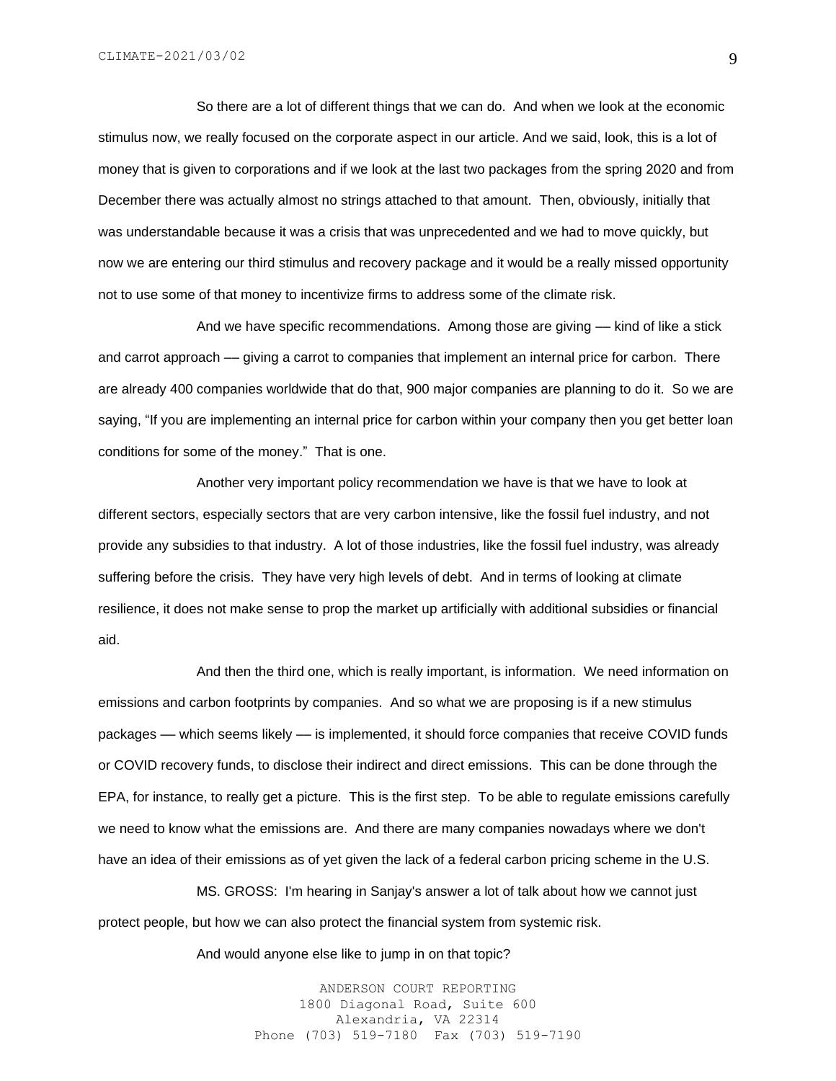So there are a lot of different things that we can do. And when we look at the economic stimulus now, we really focused on the corporate aspect in our article. And we said, look, this is a lot of money that is given to corporations and if we look at the last two packages from the spring 2020 and from December there was actually almost no strings attached to that amount. Then, obviously, initially that was understandable because it was a crisis that was unprecedented and we had to move quickly, but now we are entering our third stimulus and recovery package and it would be a really missed opportunity not to use some of that money to incentivize firms to address some of the climate risk.

And we have specific recommendations. Among those are giving –– kind of like a stick and carrot approach –– giving a carrot to companies that implement an internal price for carbon. There are already 400 companies worldwide that do that, 900 major companies are planning to do it. So we are saying, "If you are implementing an internal price for carbon within your company then you get better loan conditions for some of the money." That is one.

Another very important policy recommendation we have is that we have to look at different sectors, especially sectors that are very carbon intensive, like the fossil fuel industry, and not provide any subsidies to that industry. A lot of those industries, like the fossil fuel industry, was already suffering before the crisis. They have very high levels of debt. And in terms of looking at climate resilience, it does not make sense to prop the market up artificially with additional subsidies or financial aid.

And then the third one, which is really important, is information. We need information on emissions and carbon footprints by companies. And so what we are proposing is if a new stimulus packages –– which seems likely –– is implemented, it should force companies that receive COVID funds or COVID recovery funds, to disclose their indirect and direct emissions. This can be done through the EPA, for instance, to really get a picture. This is the first step. To be able to regulate emissions carefully we need to know what the emissions are. And there are many companies nowadays where we don't have an idea of their emissions as of yet given the lack of a federal carbon pricing scheme in the U.S.

MS. GROSS: I'm hearing in Sanjay's answer a lot of talk about how we cannot just protect people, but how we can also protect the financial system from systemic risk.

And would anyone else like to jump in on that topic?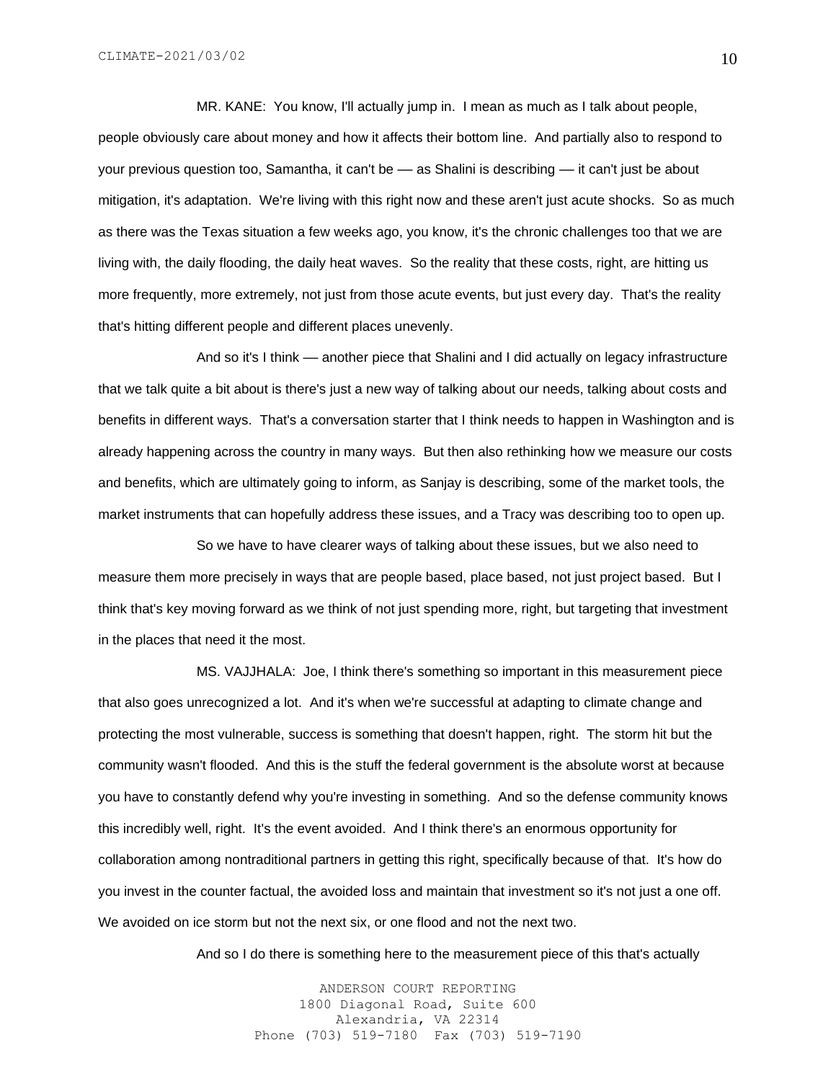MR. KANE: You know, I'll actually jump in. I mean as much as I talk about people, people obviously care about money and how it affects their bottom line. And partially also to respond to your previous question too, Samantha, it can't be –– as Shalini is describing –– it can't just be about mitigation, it's adaptation. We're living with this right now and these aren't just acute shocks. So as much as there was the Texas situation a few weeks ago, you know, it's the chronic challenges too that we are living with, the daily flooding, the daily heat waves. So the reality that these costs, right, are hitting us more frequently, more extremely, not just from those acute events, but just every day. That's the reality that's hitting different people and different places unevenly.

And so it's I think –– another piece that Shalini and I did actually on legacy infrastructure that we talk quite a bit about is there's just a new way of talking about our needs, talking about costs and benefits in different ways. That's a conversation starter that I think needs to happen in Washington and is already happening across the country in many ways. But then also rethinking how we measure our costs and benefits, which are ultimately going to inform, as Sanjay is describing, some of the market tools, the market instruments that can hopefully address these issues, and a Tracy was describing too to open up.

So we have to have clearer ways of talking about these issues, but we also need to measure them more precisely in ways that are people based, place based, not just project based. But I think that's key moving forward as we think of not just spending more, right, but targeting that investment in the places that need it the most.

MS. VAJJHALA: Joe, I think there's something so important in this measurement piece that also goes unrecognized a lot. And it's when we're successful at adapting to climate change and protecting the most vulnerable, success is something that doesn't happen, right. The storm hit but the community wasn't flooded. And this is the stuff the federal government is the absolute worst at because you have to constantly defend why you're investing in something. And so the defense community knows this incredibly well, right. It's the event avoided. And I think there's an enormous opportunity for collaboration among nontraditional partners in getting this right, specifically because of that. It's how do you invest in the counter factual, the avoided loss and maintain that investment so it's not just a one off. We avoided on ice storm but not the next six, or one flood and not the next two.

And so I do there is something here to the measurement piece of this that's actually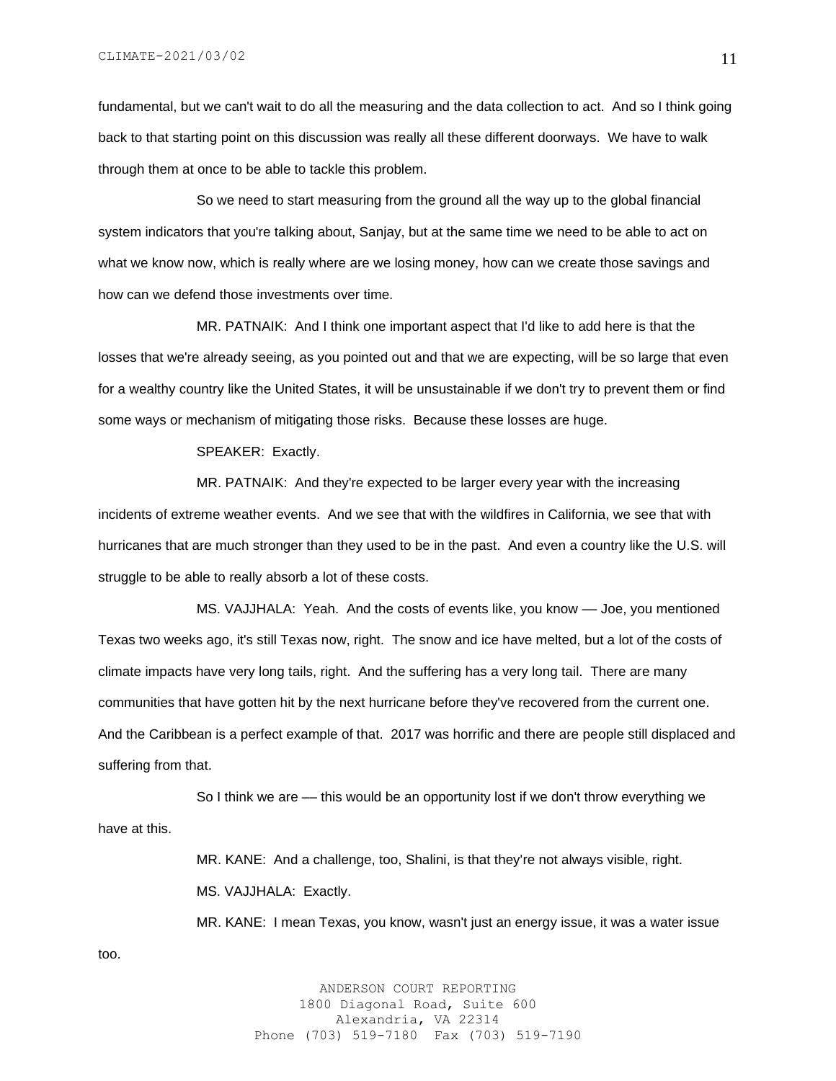fundamental, but we can't wait to do all the measuring and the data collection to act. And so I think going back to that starting point on this discussion was really all these different doorways. We have to walk through them at once to be able to tackle this problem.

So we need to start measuring from the ground all the way up to the global financial system indicators that you're talking about, Sanjay, but at the same time we need to be able to act on what we know now, which is really where are we losing money, how can we create those savings and how can we defend those investments over time.

MR. PATNAIK: And I think one important aspect that I'd like to add here is that the losses that we're already seeing, as you pointed out and that we are expecting, will be so large that even for a wealthy country like the United States, it will be unsustainable if we don't try to prevent them or find some ways or mechanism of mitigating those risks. Because these losses are huge.

SPEAKER: Exactly.

MR. PATNAIK: And they're expected to be larger every year with the increasing incidents of extreme weather events. And we see that with the wildfires in California, we see that with hurricanes that are much stronger than they used to be in the past. And even a country like the U.S. will struggle to be able to really absorb a lot of these costs.

MS. VAJJHALA: Yeah. And the costs of events like, you know –– Joe, you mentioned Texas two weeks ago, it's still Texas now, right. The snow and ice have melted, but a lot of the costs of climate impacts have very long tails, right. And the suffering has a very long tail. There are many communities that have gotten hit by the next hurricane before they've recovered from the current one. And the Caribbean is a perfect example of that. 2017 was horrific and there are people still displaced and suffering from that.

So I think we are –– this would be an opportunity lost if we don't throw everything we have at this.

> MR. KANE: And a challenge, too, Shalini, is that they're not always visible, right. MS. VAJJHALA: Exactly.

MR. KANE: I mean Texas, you know, wasn't just an energy issue, it was a water issue

ANDERSON COURT REPORTING 1800 Diagonal Road, Suite 600 Alexandria, VA 22314 Phone (703) 519-7180 Fax (703) 519-7190

too.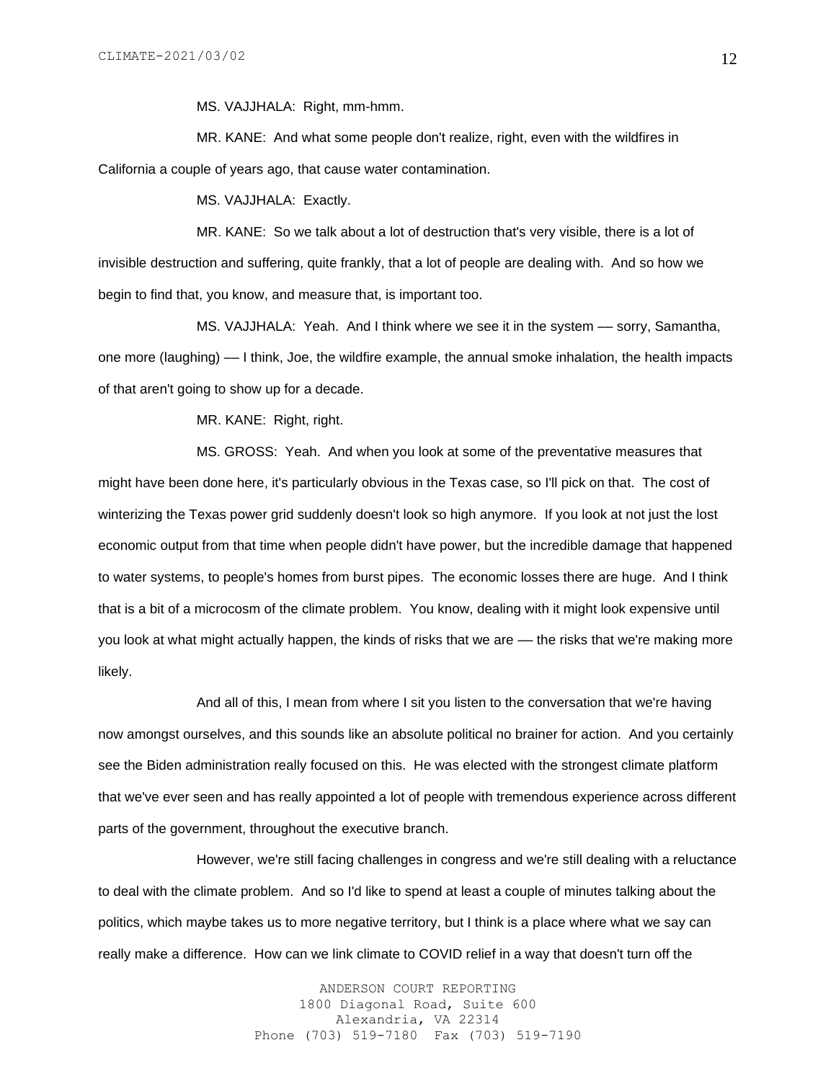MS. VAJJHALA: Right, mm-hmm.

MR. KANE: And what some people don't realize, right, even with the wildfires in California a couple of years ago, that cause water contamination.

MS. VAJJHALA: Exactly.

MR. KANE: So we talk about a lot of destruction that's very visible, there is a lot of invisible destruction and suffering, quite frankly, that a lot of people are dealing with. And so how we begin to find that, you know, and measure that, is important too.

MS. VAJJHALA: Yeah. And I think where we see it in the system -- sorry, Samantha, one more (laughing) –– I think, Joe, the wildfire example, the annual smoke inhalation, the health impacts of that aren't going to show up for a decade.

MR. KANE: Right, right.

MS. GROSS: Yeah. And when you look at some of the preventative measures that might have been done here, it's particularly obvious in the Texas case, so I'll pick on that. The cost of winterizing the Texas power grid suddenly doesn't look so high anymore. If you look at not just the lost economic output from that time when people didn't have power, but the incredible damage that happened to water systems, to people's homes from burst pipes. The economic losses there are huge. And I think that is a bit of a microcosm of the climate problem. You know, dealing with it might look expensive until you look at what might actually happen, the kinds of risks that we are –– the risks that we're making more likely.

And all of this, I mean from where I sit you listen to the conversation that we're having now amongst ourselves, and this sounds like an absolute political no brainer for action. And you certainly see the Biden administration really focused on this. He was elected with the strongest climate platform that we've ever seen and has really appointed a lot of people with tremendous experience across different parts of the government, throughout the executive branch.

However, we're still facing challenges in congress and we're still dealing with a reluctance to deal with the climate problem. And so I'd like to spend at least a couple of minutes talking about the politics, which maybe takes us to more negative territory, but I think is a place where what we say can really make a difference. How can we link climate to COVID relief in a way that doesn't turn off the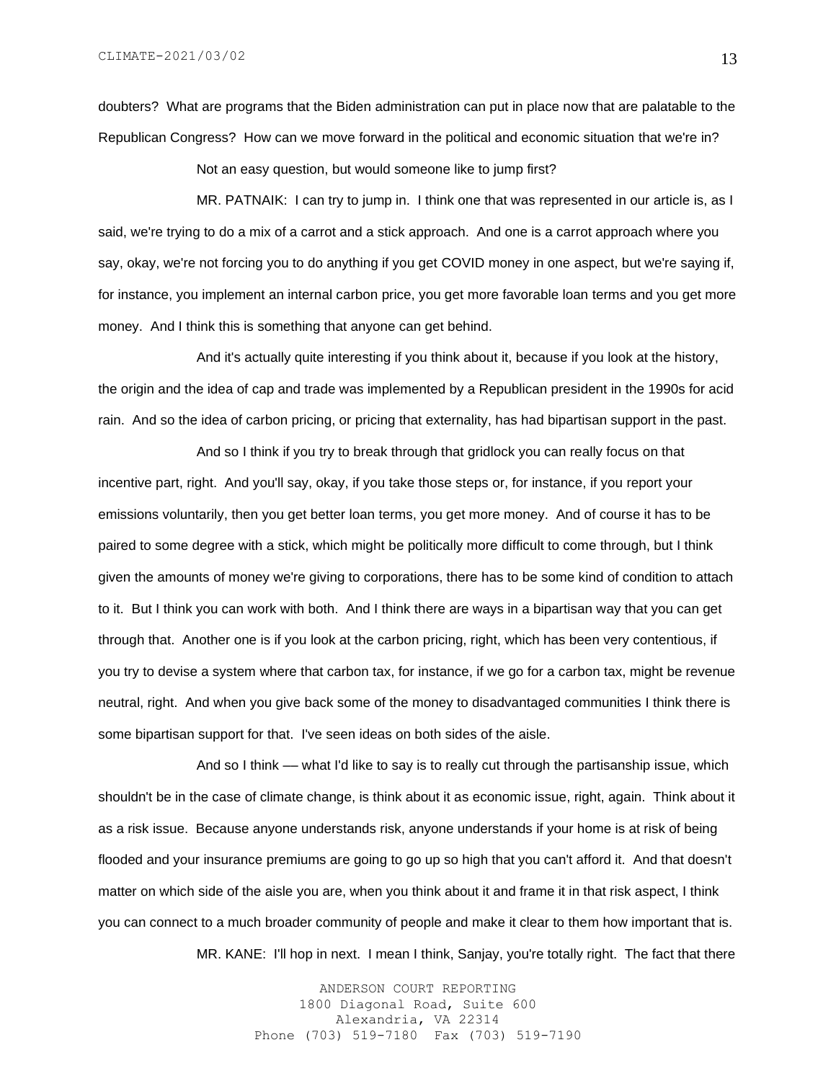doubters? What are programs that the Biden administration can put in place now that are palatable to the Republican Congress? How can we move forward in the political and economic situation that we're in?

Not an easy question, but would someone like to jump first?

MR. PATNAIK: I can try to jump in. I think one that was represented in our article is, as I said, we're trying to do a mix of a carrot and a stick approach. And one is a carrot approach where you say, okay, we're not forcing you to do anything if you get COVID money in one aspect, but we're saying if, for instance, you implement an internal carbon price, you get more favorable loan terms and you get more money. And I think this is something that anyone can get behind.

And it's actually quite interesting if you think about it, because if you look at the history, the origin and the idea of cap and trade was implemented by a Republican president in the 1990s for acid rain. And so the idea of carbon pricing, or pricing that externality, has had bipartisan support in the past.

And so I think if you try to break through that gridlock you can really focus on that incentive part, right. And you'll say, okay, if you take those steps or, for instance, if you report your emissions voluntarily, then you get better loan terms, you get more money. And of course it has to be paired to some degree with a stick, which might be politically more difficult to come through, but I think given the amounts of money we're giving to corporations, there has to be some kind of condition to attach to it. But I think you can work with both. And I think there are ways in a bipartisan way that you can get through that. Another one is if you look at the carbon pricing, right, which has been very contentious, if you try to devise a system where that carbon tax, for instance, if we go for a carbon tax, might be revenue neutral, right. And when you give back some of the money to disadvantaged communities I think there is some bipartisan support for that. I've seen ideas on both sides of the aisle.

And so I think –– what I'd like to say is to really cut through the partisanship issue, which shouldn't be in the case of climate change, is think about it as economic issue, right, again. Think about it as a risk issue. Because anyone understands risk, anyone understands if your home is at risk of being flooded and your insurance premiums are going to go up so high that you can't afford it. And that doesn't matter on which side of the aisle you are, when you think about it and frame it in that risk aspect, I think you can connect to a much broader community of people and make it clear to them how important that is. MR. KANE: I'll hop in next. I mean I think, Sanjay, you're totally right. The fact that there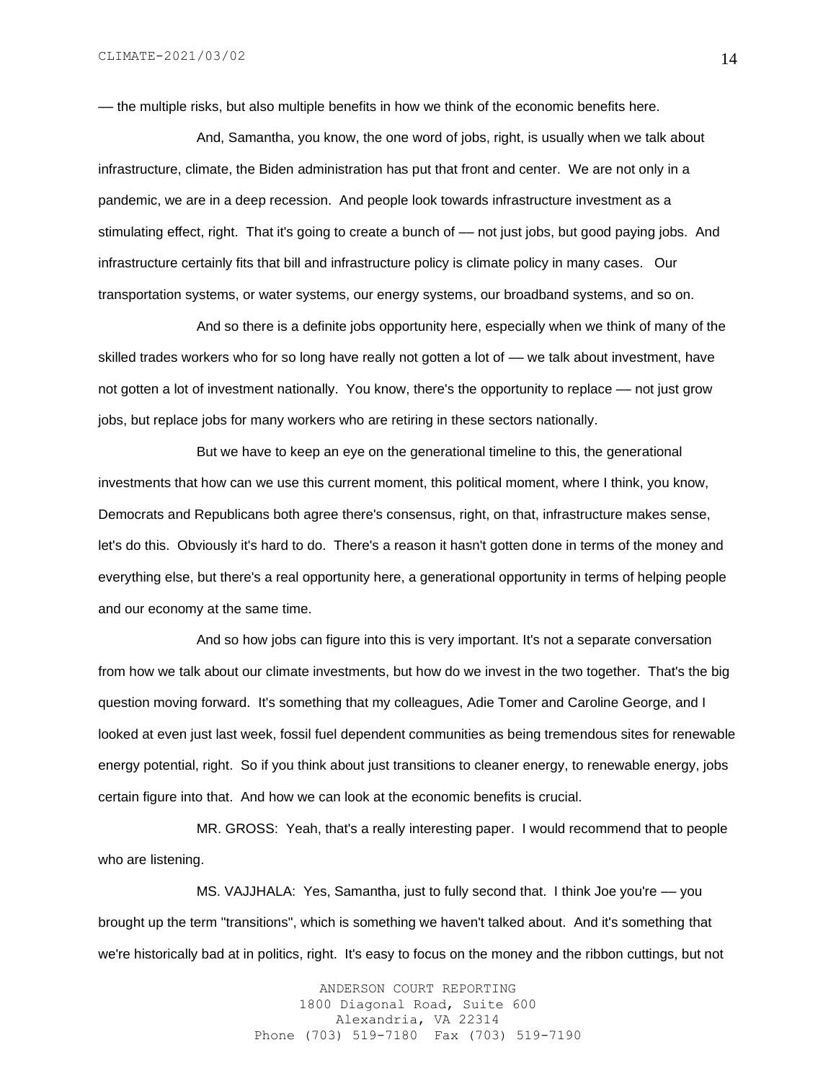–– the multiple risks, but also multiple benefits in how we think of the economic benefits here.

And, Samantha, you know, the one word of jobs, right, is usually when we talk about infrastructure, climate, the Biden administration has put that front and center. We are not only in a pandemic, we are in a deep recession. And people look towards infrastructure investment as a stimulating effect, right. That it's going to create a bunch of — not just jobs, but good paying jobs. And infrastructure certainly fits that bill and infrastructure policy is climate policy in many cases. Our transportation systems, or water systems, our energy systems, our broadband systems, and so on.

And so there is a definite jobs opportunity here, especially when we think of many of the skilled trades workers who for so long have really not gotten a lot of — we talk about investment, have not gotten a lot of investment nationally. You know, there's the opportunity to replace –– not just grow jobs, but replace jobs for many workers who are retiring in these sectors nationally.

But we have to keep an eye on the generational timeline to this, the generational investments that how can we use this current moment, this political moment, where I think, you know, Democrats and Republicans both agree there's consensus, right, on that, infrastructure makes sense, let's do this. Obviously it's hard to do. There's a reason it hasn't gotten done in terms of the money and everything else, but there's a real opportunity here, a generational opportunity in terms of helping people and our economy at the same time.

And so how jobs can figure into this is very important. It's not a separate conversation from how we talk about our climate investments, but how do we invest in the two together. That's the big question moving forward. It's something that my colleagues, Adie Tomer and Caroline George, and I looked at even just last week, fossil fuel dependent communities as being tremendous sites for renewable energy potential, right. So if you think about just transitions to cleaner energy, to renewable energy, jobs certain figure into that. And how we can look at the economic benefits is crucial.

MR. GROSS: Yeah, that's a really interesting paper. I would recommend that to people who are listening.

MS. VAJJHALA: Yes, Samantha, just to fully second that. I think Joe you're -- you brought up the term "transitions", which is something we haven't talked about. And it's something that we're historically bad at in politics, right. It's easy to focus on the money and the ribbon cuttings, but not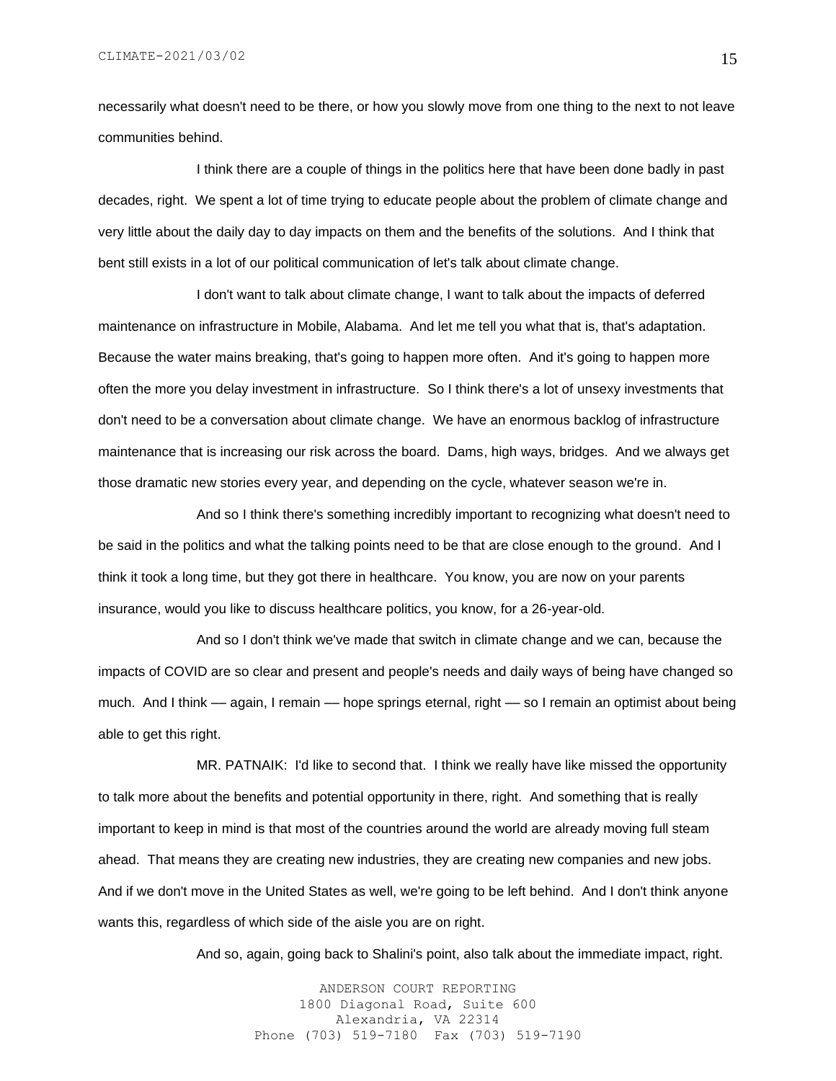necessarily what doesn't need to be there, or how you slowly move from one thing to the next to not leave communities behind.

I think there are a couple of things in the politics here that have been done badly in past decades, right. We spent a lot of time trying to educate people about the problem of climate change and very little about the daily day to day impacts on them and the benefits of the solutions. And I think that bent still exists in a lot of our political communication of let's talk about climate change.

I don't want to talk about climate change, I want to talk about the impacts of deferred maintenance on infrastructure in Mobile, Alabama. And let me tell you what that is, that's adaptation. Because the water mains breaking, that's going to happen more often. And it's going to happen more often the more you delay investment in infrastructure. So I think there's a lot of unsexy investments that don't need to be a conversation about climate change. We have an enormous backlog of infrastructure maintenance that is increasing our risk across the board. Dams, high ways, bridges. And we always get those dramatic new stories every year, and depending on the cycle, whatever season we're in.

And so I think there's something incredibly important to recognizing what doesn't need to be said in the politics and what the talking points need to be that are close enough to the ground. And I think it took a long time, but they got there in healthcare. You know, you are now on your parents insurance, would you like to discuss healthcare politics, you know, for a 26-year-old.

And so I don't think we've made that switch in climate change and we can, because the impacts of COVID are so clear and present and people's needs and daily ways of being have changed so much. And I think — again, I remain — hope springs eternal, right — so I remain an optimist about being able to get this right.

MR. PATNAIK: I'd like to second that. I think we really have like missed the opportunity to talk more about the benefits and potential opportunity in there, right. And something that is really important to keep in mind is that most of the countries around the world are already moving full steam ahead. That means they are creating new industries, they are creating new companies and new jobs. And if we don't move in the United States as well, we're going to be left behind. And I don't think anyone wants this, regardless of which side of the aisle you are on right.

And so, again, going back to Shalini's point, also talk about the immediate impact, right.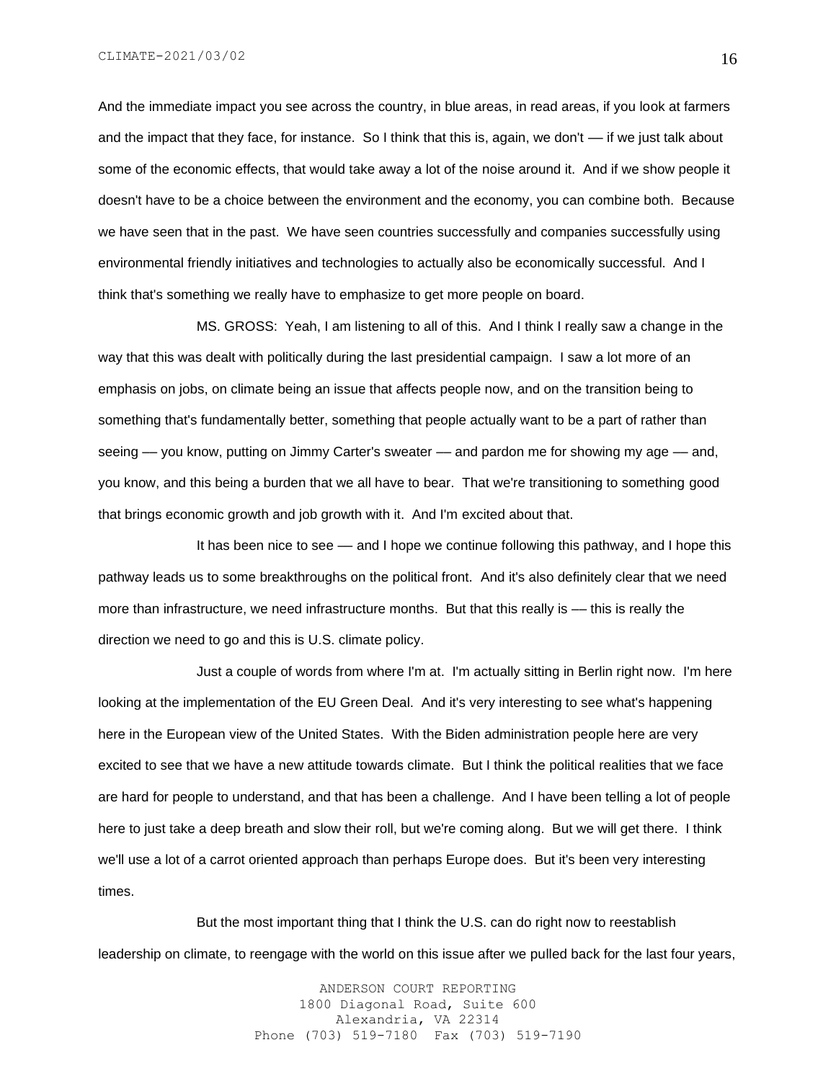And the immediate impact you see across the country, in blue areas, in read areas, if you look at farmers and the impact that they face, for instance. So I think that this is, again, we don't — if we just talk about some of the economic effects, that would take away a lot of the noise around it. And if we show people it doesn't have to be a choice between the environment and the economy, you can combine both. Because we have seen that in the past. We have seen countries successfully and companies successfully using environmental friendly initiatives and technologies to actually also be economically successful. And I think that's something we really have to emphasize to get more people on board.

MS. GROSS: Yeah, I am listening to all of this. And I think I really saw a change in the way that this was dealt with politically during the last presidential campaign. I saw a lot more of an emphasis on jobs, on climate being an issue that affects people now, and on the transition being to something that's fundamentally better, something that people actually want to be a part of rather than seeing — you know, putting on Jimmy Carter's sweater — and pardon me for showing my age — and, you know, and this being a burden that we all have to bear. That we're transitioning to something good that brings economic growth and job growth with it. And I'm excited about that.

It has been nice to see –– and I hope we continue following this pathway, and I hope this pathway leads us to some breakthroughs on the political front. And it's also definitely clear that we need more than infrastructure, we need infrastructure months. But that this really is –– this is really the direction we need to go and this is U.S. climate policy.

Just a couple of words from where I'm at. I'm actually sitting in Berlin right now. I'm here looking at the implementation of the EU Green Deal. And it's very interesting to see what's happening here in the European view of the United States. With the Biden administration people here are very excited to see that we have a new attitude towards climate. But I think the political realities that we face are hard for people to understand, and that has been a challenge. And I have been telling a lot of people here to just take a deep breath and slow their roll, but we're coming along. But we will get there. I think we'll use a lot of a carrot oriented approach than perhaps Europe does. But it's been very interesting times.

But the most important thing that I think the U.S. can do right now to reestablish leadership on climate, to reengage with the world on this issue after we pulled back for the last four years,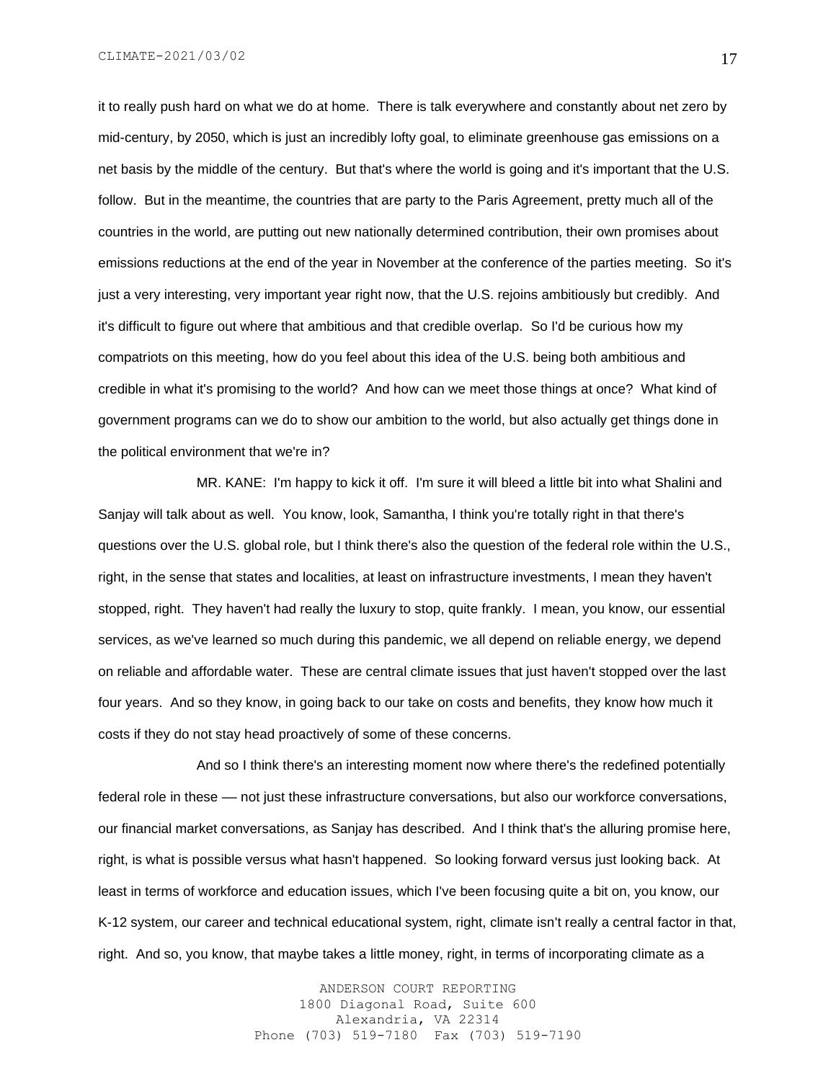it to really push hard on what we do at home. There is talk everywhere and constantly about net zero by mid-century, by 2050, which is just an incredibly lofty goal, to eliminate greenhouse gas emissions on a net basis by the middle of the century. But that's where the world is going and it's important that the U.S. follow. But in the meantime, the countries that are party to the Paris Agreement, pretty much all of the countries in the world, are putting out new nationally determined contribution, their own promises about emissions reductions at the end of the year in November at the conference of the parties meeting. So it's just a very interesting, very important year right now, that the U.S. rejoins ambitiously but credibly. And it's difficult to figure out where that ambitious and that credible overlap. So I'd be curious how my compatriots on this meeting, how do you feel about this idea of the U.S. being both ambitious and credible in what it's promising to the world? And how can we meet those things at once? What kind of government programs can we do to show our ambition to the world, but also actually get things done in the political environment that we're in?

MR. KANE: I'm happy to kick it off. I'm sure it will bleed a little bit into what Shalini and Sanjay will talk about as well. You know, look, Samantha, I think you're totally right in that there's questions over the U.S. global role, but I think there's also the question of the federal role within the U.S., right, in the sense that states and localities, at least on infrastructure investments, I mean they haven't stopped, right. They haven't had really the luxury to stop, quite frankly. I mean, you know, our essential services, as we've learned so much during this pandemic, we all depend on reliable energy, we depend on reliable and affordable water. These are central climate issues that just haven't stopped over the last four years. And so they know, in going back to our take on costs and benefits, they know how much it costs if they do not stay head proactively of some of these concerns.

And so I think there's an interesting moment now where there's the redefined potentially federal role in these –– not just these infrastructure conversations, but also our workforce conversations, our financial market conversations, as Sanjay has described. And I think that's the alluring promise here, right, is what is possible versus what hasn't happened. So looking forward versus just looking back. At least in terms of workforce and education issues, which I've been focusing quite a bit on, you know, our K-12 system, our career and technical educational system, right, climate isn't really a central factor in that, right. And so, you know, that maybe takes a little money, right, in terms of incorporating climate as a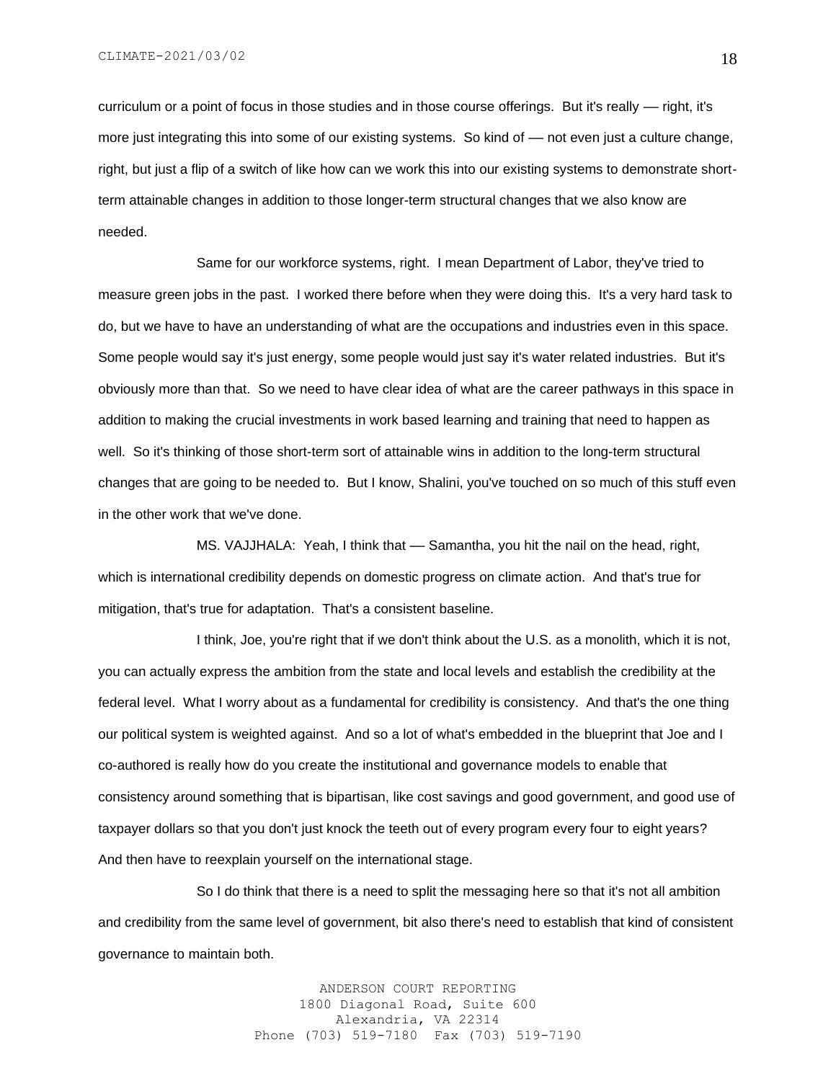curriculum or a point of focus in those studies and in those course offerings. But it's really –– right, it's more just integrating this into some of our existing systems. So kind of — not even just a culture change, right, but just a flip of a switch of like how can we work this into our existing systems to demonstrate shortterm attainable changes in addition to those longer-term structural changes that we also know are needed.

Same for our workforce systems, right. I mean Department of Labor, they've tried to measure green jobs in the past. I worked there before when they were doing this. It's a very hard task to do, but we have to have an understanding of what are the occupations and industries even in this space. Some people would say it's just energy, some people would just say it's water related industries. But it's obviously more than that. So we need to have clear idea of what are the career pathways in this space in addition to making the crucial investments in work based learning and training that need to happen as well. So it's thinking of those short-term sort of attainable wins in addition to the long-term structural changes that are going to be needed to. But I know, Shalini, you've touched on so much of this stuff even in the other work that we've done.

MS. VAJJHALA: Yeah, I think that — Samantha, you hit the nail on the head, right, which is international credibility depends on domestic progress on climate action. And that's true for mitigation, that's true for adaptation. That's a consistent baseline.

I think, Joe, you're right that if we don't think about the U.S. as a monolith, which it is not, you can actually express the ambition from the state and local levels and establish the credibility at the federal level. What I worry about as a fundamental for credibility is consistency. And that's the one thing our political system is weighted against. And so a lot of what's embedded in the blueprint that Joe and I co-authored is really how do you create the institutional and governance models to enable that consistency around something that is bipartisan, like cost savings and good government, and good use of taxpayer dollars so that you don't just knock the teeth out of every program every four to eight years? And then have to reexplain yourself on the international stage.

So I do think that there is a need to split the messaging here so that it's not all ambition and credibility from the same level of government, bit also there's need to establish that kind of consistent governance to maintain both.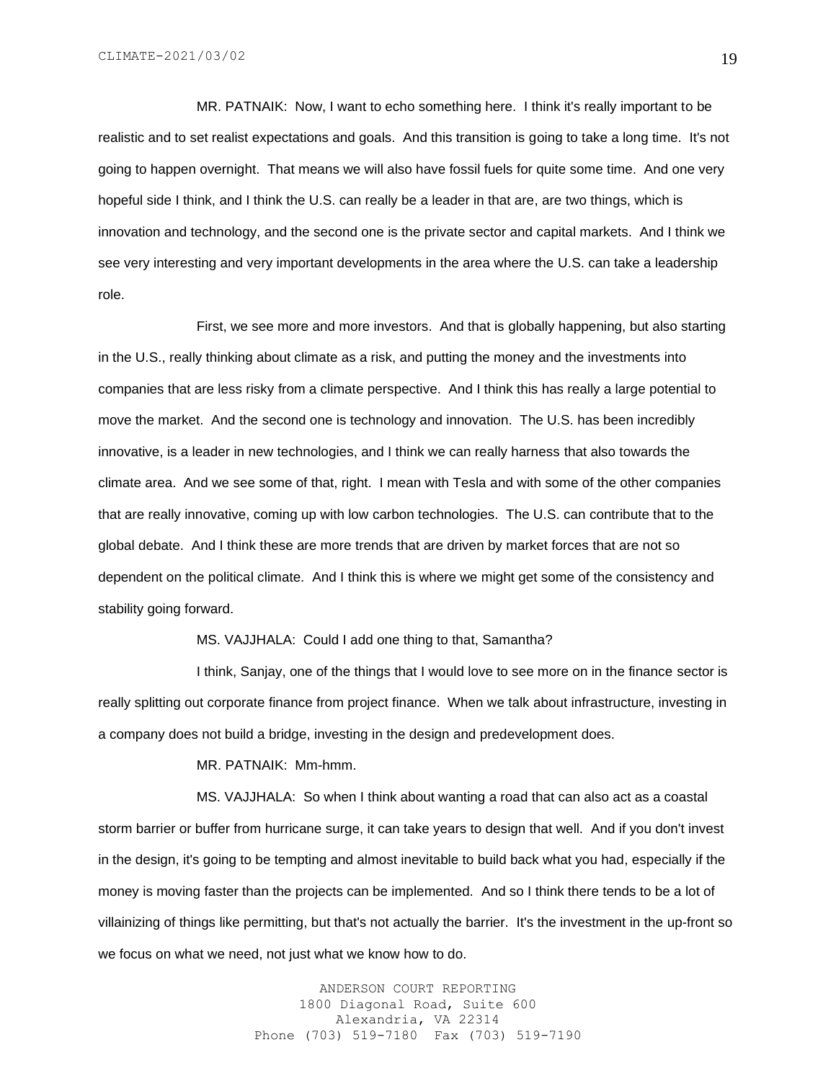MR. PATNAIK: Now, I want to echo something here. I think it's really important to be realistic and to set realist expectations and goals. And this transition is going to take a long time. It's not going to happen overnight. That means we will also have fossil fuels for quite some time. And one very hopeful side I think, and I think the U.S. can really be a leader in that are, are two things, which is innovation and technology, and the second one is the private sector and capital markets. And I think we see very interesting and very important developments in the area where the U.S. can take a leadership role.

First, we see more and more investors. And that is globally happening, but also starting in the U.S., really thinking about climate as a risk, and putting the money and the investments into companies that are less risky from a climate perspective. And I think this has really a large potential to move the market. And the second one is technology and innovation. The U.S. has been incredibly innovative, is a leader in new technologies, and I think we can really harness that also towards the climate area. And we see some of that, right. I mean with Tesla and with some of the other companies that are really innovative, coming up with low carbon technologies. The U.S. can contribute that to the global debate. And I think these are more trends that are driven by market forces that are not so dependent on the political climate. And I think this is where we might get some of the consistency and stability going forward.

### MS. VAJJHALA: Could I add one thing to that, Samantha?

I think, Sanjay, one of the things that I would love to see more on in the finance sector is really splitting out corporate finance from project finance. When we talk about infrastructure, investing in a company does not build a bridge, investing in the design and predevelopment does.

MR. PATNAIK: Mm-hmm.

MS. VAJJHALA: So when I think about wanting a road that can also act as a coastal storm barrier or buffer from hurricane surge, it can take years to design that well. And if you don't invest in the design, it's going to be tempting and almost inevitable to build back what you had, especially if the money is moving faster than the projects can be implemented. And so I think there tends to be a lot of villainizing of things like permitting, but that's not actually the barrier. It's the investment in the up-front so we focus on what we need, not just what we know how to do.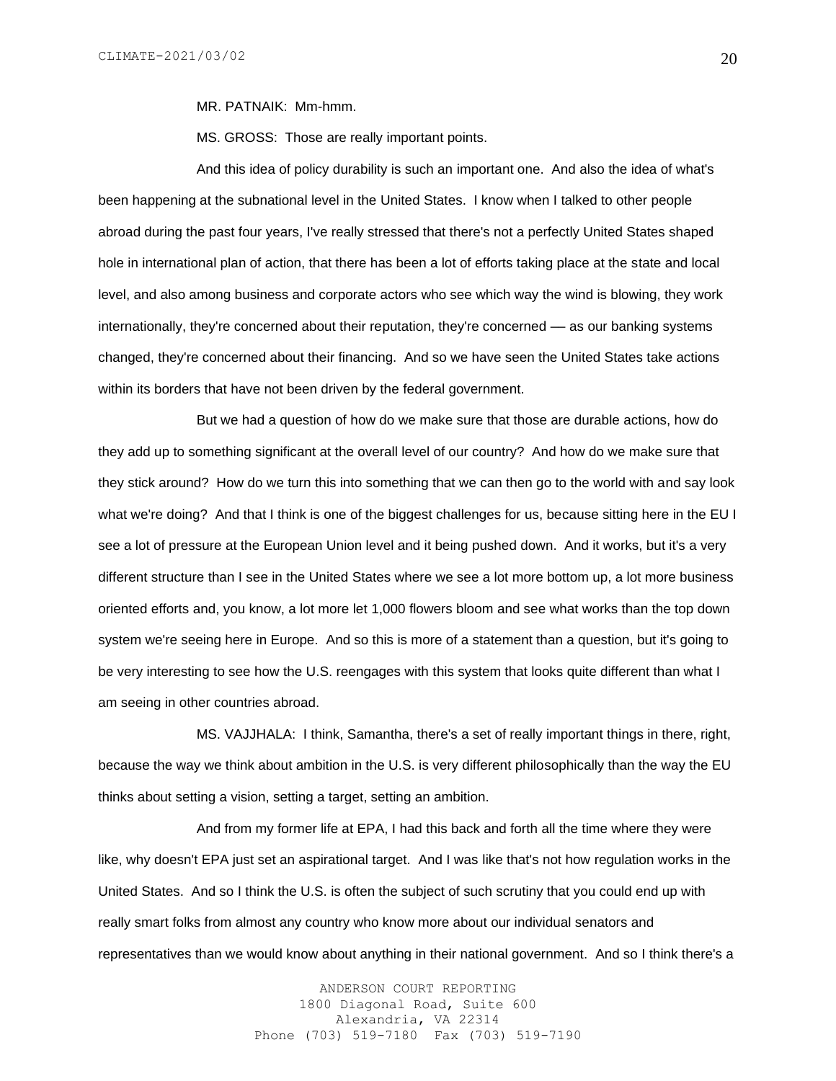MR. PATNAIK: Mm-hmm.

MS. GROSS: Those are really important points.

And this idea of policy durability is such an important one. And also the idea of what's been happening at the subnational level in the United States. I know when I talked to other people abroad during the past four years, I've really stressed that there's not a perfectly United States shaped hole in international plan of action, that there has been a lot of efforts taking place at the state and local level, and also among business and corporate actors who see which way the wind is blowing, they work internationally, they're concerned about their reputation, they're concerned — as our banking systems changed, they're concerned about their financing. And so we have seen the United States take actions within its borders that have not been driven by the federal government.

But we had a question of how do we make sure that those are durable actions, how do they add up to something significant at the overall level of our country? And how do we make sure that they stick around? How do we turn this into something that we can then go to the world with and say look what we're doing? And that I think is one of the biggest challenges for us, because sitting here in the EU I see a lot of pressure at the European Union level and it being pushed down. And it works, but it's a very different structure than I see in the United States where we see a lot more bottom up, a lot more business oriented efforts and, you know, a lot more let 1,000 flowers bloom and see what works than the top down system we're seeing here in Europe. And so this is more of a statement than a question, but it's going to be very interesting to see how the U.S. reengages with this system that looks quite different than what I am seeing in other countries abroad.

MS. VAJJHALA: I think, Samantha, there's a set of really important things in there, right, because the way we think about ambition in the U.S. is very different philosophically than the way the EU thinks about setting a vision, setting a target, setting an ambition.

And from my former life at EPA, I had this back and forth all the time where they were like, why doesn't EPA just set an aspirational target. And I was like that's not how regulation works in the United States. And so I think the U.S. is often the subject of such scrutiny that you could end up with really smart folks from almost any country who know more about our individual senators and representatives than we would know about anything in their national government. And so I think there's a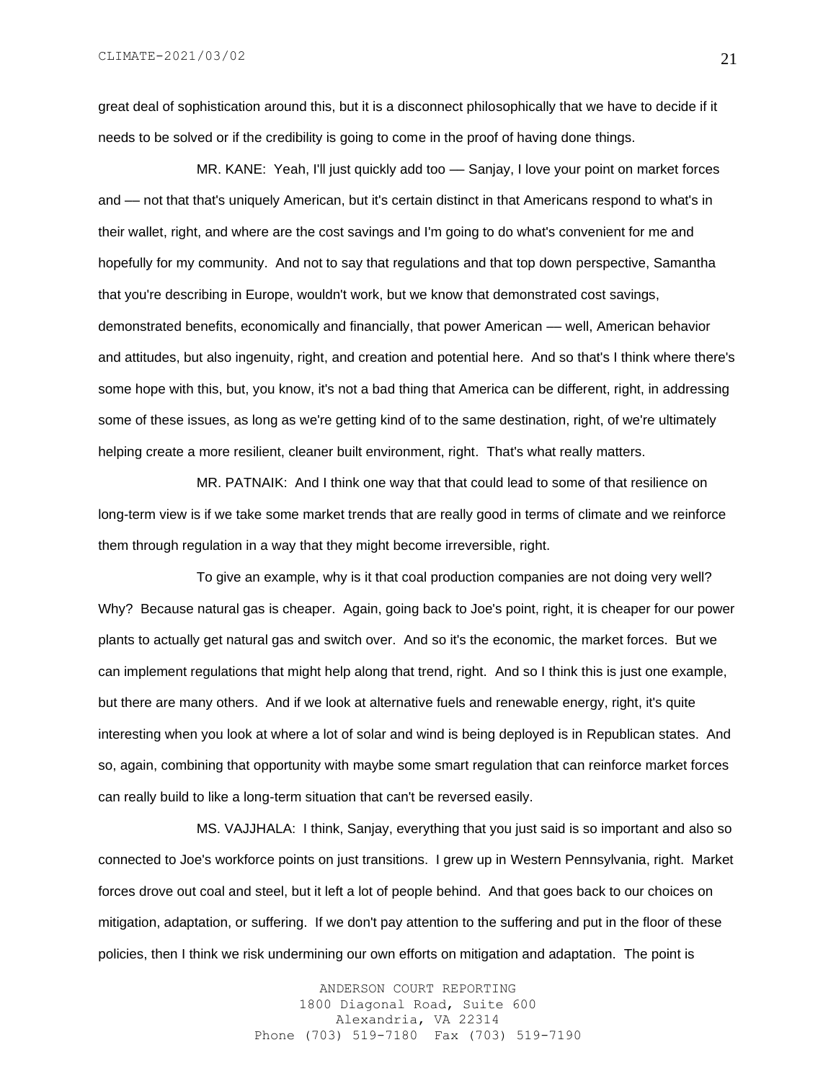great deal of sophistication around this, but it is a disconnect philosophically that we have to decide if it needs to be solved or if the credibility is going to come in the proof of having done things.

MR. KANE: Yeah, I'll just quickly add too — Sanjay, I love your point on market forces and — not that that's uniquely American, but it's certain distinct in that Americans respond to what's in their wallet, right, and where are the cost savings and I'm going to do what's convenient for me and hopefully for my community. And not to say that regulations and that top down perspective, Samantha that you're describing in Europe, wouldn't work, but we know that demonstrated cost savings, demonstrated benefits, economically and financially, that power American — well, American behavior and attitudes, but also ingenuity, right, and creation and potential here. And so that's I think where there's some hope with this, but, you know, it's not a bad thing that America can be different, right, in addressing some of these issues, as long as we're getting kind of to the same destination, right, of we're ultimately helping create a more resilient, cleaner built environment, right. That's what really matters.

MR. PATNAIK: And I think one way that that could lead to some of that resilience on long-term view is if we take some market trends that are really good in terms of climate and we reinforce them through regulation in a way that they might become irreversible, right.

To give an example, why is it that coal production companies are not doing very well? Why? Because natural gas is cheaper. Again, going back to Joe's point, right, it is cheaper for our power plants to actually get natural gas and switch over. And so it's the economic, the market forces. But we can implement regulations that might help along that trend, right. And so I think this is just one example, but there are many others. And if we look at alternative fuels and renewable energy, right, it's quite interesting when you look at where a lot of solar and wind is being deployed is in Republican states. And so, again, combining that opportunity with maybe some smart regulation that can reinforce market forces can really build to like a long-term situation that can't be reversed easily.

MS. VAJJHALA: I think, Sanjay, everything that you just said is so important and also so connected to Joe's workforce points on just transitions. I grew up in Western Pennsylvania, right. Market forces drove out coal and steel, but it left a lot of people behind. And that goes back to our choices on mitigation, adaptation, or suffering. If we don't pay attention to the suffering and put in the floor of these policies, then I think we risk undermining our own efforts on mitigation and adaptation. The point is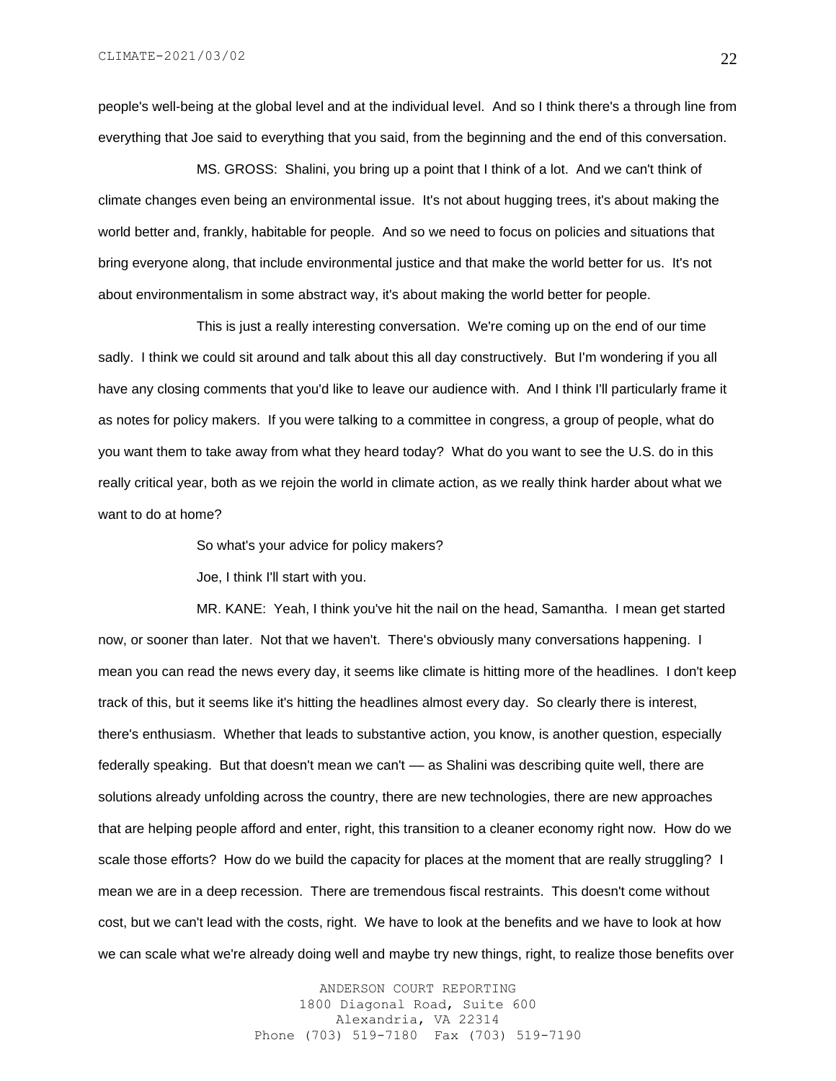people's well-being at the global level and at the individual level. And so I think there's a through line from everything that Joe said to everything that you said, from the beginning and the end of this conversation.

MS. GROSS: Shalini, you bring up a point that I think of a lot. And we can't think of climate changes even being an environmental issue. It's not about hugging trees, it's about making the world better and, frankly, habitable for people. And so we need to focus on policies and situations that bring everyone along, that include environmental justice and that make the world better for us. It's not about environmentalism in some abstract way, it's about making the world better for people.

This is just a really interesting conversation. We're coming up on the end of our time sadly. I think we could sit around and talk about this all day constructively. But I'm wondering if you all have any closing comments that you'd like to leave our audience with. And I think I'll particularly frame it as notes for policy makers. If you were talking to a committee in congress, a group of people, what do you want them to take away from what they heard today? What do you want to see the U.S. do in this really critical year, both as we rejoin the world in climate action, as we really think harder about what we want to do at home?

So what's your advice for policy makers?

Joe, I think I'll start with you.

MR. KANE: Yeah, I think you've hit the nail on the head, Samantha. I mean get started now, or sooner than later. Not that we haven't. There's obviously many conversations happening. I mean you can read the news every day, it seems like climate is hitting more of the headlines. I don't keep track of this, but it seems like it's hitting the headlines almost every day. So clearly there is interest, there's enthusiasm. Whether that leads to substantive action, you know, is another question, especially federally speaking. But that doesn't mean we can't — as Shalini was describing quite well, there are solutions already unfolding across the country, there are new technologies, there are new approaches that are helping people afford and enter, right, this transition to a cleaner economy right now. How do we scale those efforts? How do we build the capacity for places at the moment that are really struggling? I mean we are in a deep recession. There are tremendous fiscal restraints. This doesn't come without cost, but we can't lead with the costs, right. We have to look at the benefits and we have to look at how we can scale what we're already doing well and maybe try new things, right, to realize those benefits over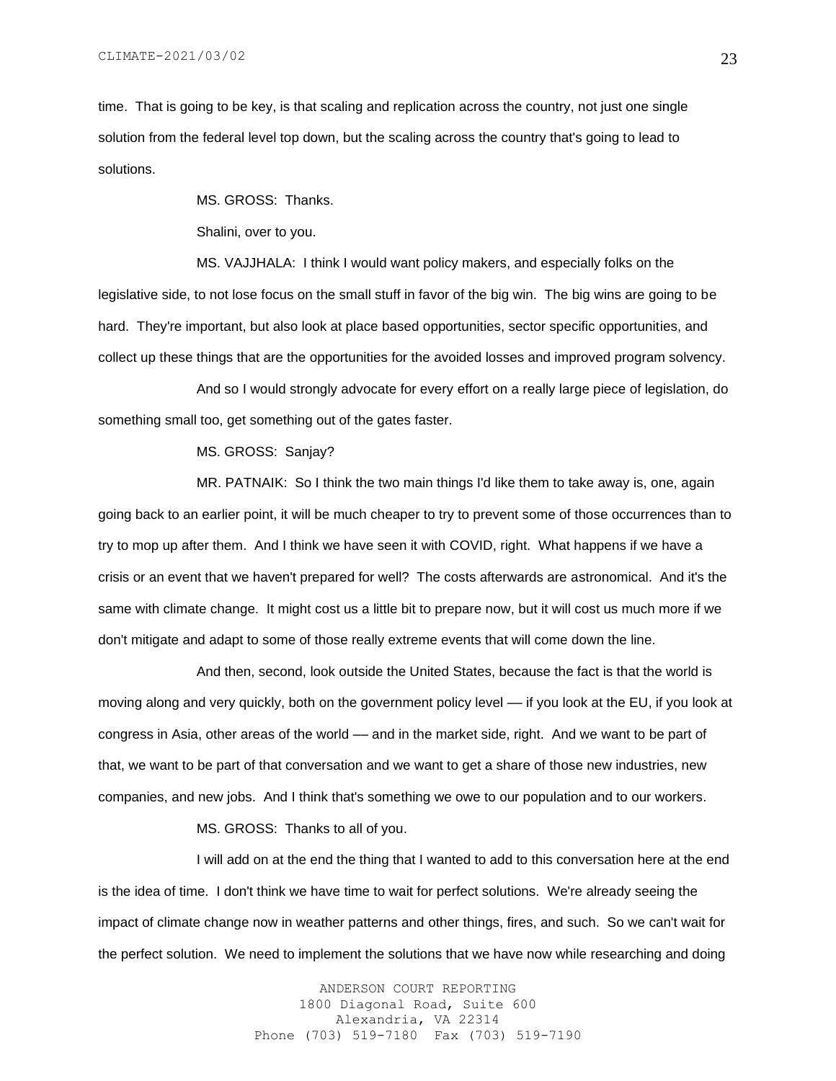time. That is going to be key, is that scaling and replication across the country, not just one single solution from the federal level top down, but the scaling across the country that's going to lead to solutions.

MS. GROSS: Thanks.

Shalini, over to you.

MS. VAJJHALA: I think I would want policy makers, and especially folks on the legislative side, to not lose focus on the small stuff in favor of the big win. The big wins are going to be hard. They're important, but also look at place based opportunities, sector specific opportunities, and collect up these things that are the opportunities for the avoided losses and improved program solvency.

And so I would strongly advocate for every effort on a really large piece of legislation, do something small too, get something out of the gates faster.

MS. GROSS: Sanjay?

MR. PATNAIK: So I think the two main things I'd like them to take away is, one, again going back to an earlier point, it will be much cheaper to try to prevent some of those occurrences than to try to mop up after them. And I think we have seen it with COVID, right. What happens if we have a crisis or an event that we haven't prepared for well? The costs afterwards are astronomical. And it's the same with climate change. It might cost us a little bit to prepare now, but it will cost us much more if we don't mitigate and adapt to some of those really extreme events that will come down the line.

And then, second, look outside the United States, because the fact is that the world is moving along and very quickly, both on the government policy level –– if you look at the EU, if you look at congress in Asia, other areas of the world –– and in the market side, right. And we want to be part of that, we want to be part of that conversation and we want to get a share of those new industries, new companies, and new jobs. And I think that's something we owe to our population and to our workers.

MS. GROSS: Thanks to all of you.

I will add on at the end the thing that I wanted to add to this conversation here at the end is the idea of time. I don't think we have time to wait for perfect solutions. We're already seeing the impact of climate change now in weather patterns and other things, fires, and such. So we can't wait for the perfect solution. We need to implement the solutions that we have now while researching and doing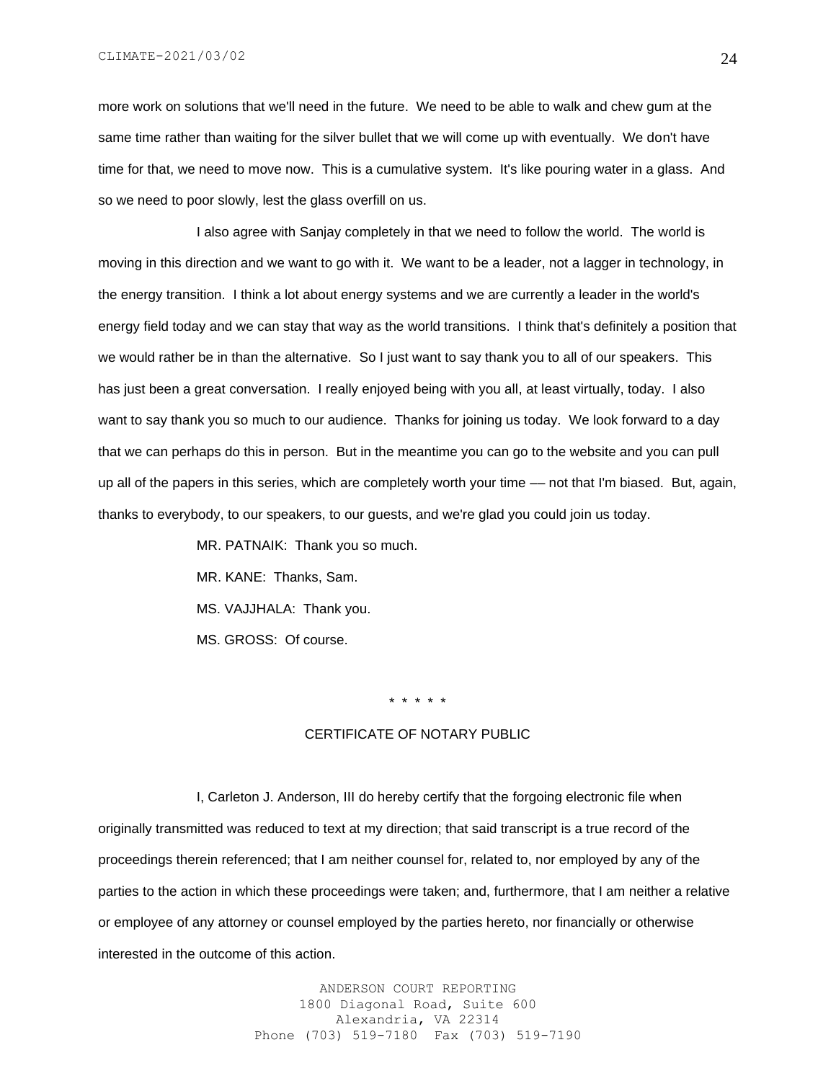more work on solutions that we'll need in the future. We need to be able to walk and chew gum at the same time rather than waiting for the silver bullet that we will come up with eventually. We don't have time for that, we need to move now. This is a cumulative system. It's like pouring water in a glass. And so we need to poor slowly, lest the glass overfill on us.

I also agree with Sanjay completely in that we need to follow the world. The world is moving in this direction and we want to go with it. We want to be a leader, not a lagger in technology, in the energy transition. I think a lot about energy systems and we are currently a leader in the world's energy field today and we can stay that way as the world transitions. I think that's definitely a position that we would rather be in than the alternative. So I just want to say thank you to all of our speakers. This has just been a great conversation. I really enjoyed being with you all, at least virtually, today. I also want to say thank you so much to our audience. Thanks for joining us today. We look forward to a day that we can perhaps do this in person. But in the meantime you can go to the website and you can pull up all of the papers in this series, which are completely worth your time –– not that I'm biased. But, again, thanks to everybody, to our speakers, to our guests, and we're glad you could join us today.

> MR. PATNAIK: Thank you so much. MR. KANE: Thanks, Sam. MS. VAJJHALA: Thank you. MS. GROSS: Of course.

> > \* \* \* \* \*

## CERTIFICATE OF NOTARY PUBLIC

I, Carleton J. Anderson, III do hereby certify that the forgoing electronic file when originally transmitted was reduced to text at my direction; that said transcript is a true record of the proceedings therein referenced; that I am neither counsel for, related to, nor employed by any of the parties to the action in which these proceedings were taken; and, furthermore, that I am neither a relative or employee of any attorney or counsel employed by the parties hereto, nor financially or otherwise interested in the outcome of this action.